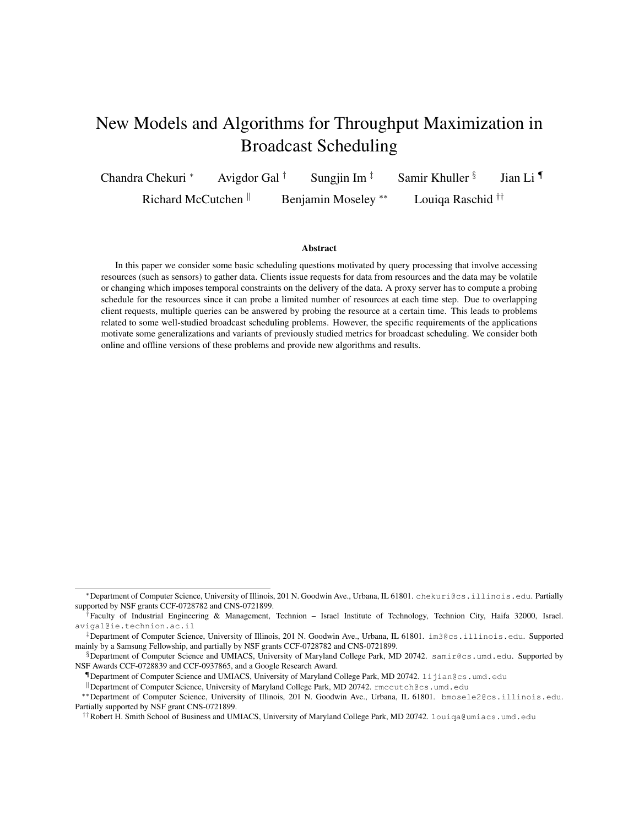# New Models and Algorithms for Throughput Maximization in Broadcast Scheduling

Chandra Chekuri \* Avigdor Gal † Sungjin Im  $\frac{1}{7}$  Samir Khuller § Jian Li ¶ Richard McCutchen <sup>||</sup> Benjamin Moseley <sup>∗∗</sup> Louiqa Raschid <sup>††</sup>

#### Abstract

In this paper we consider some basic scheduling questions motivated by query processing that involve accessing resources (such as sensors) to gather data. Clients issue requests for data from resources and the data may be volatile or changing which imposes temporal constraints on the delivery of the data. A proxy server has to compute a probing schedule for the resources since it can probe a limited number of resources at each time step. Due to overlapping client requests, multiple queries can be answered by probing the resource at a certain time. This leads to problems related to some well-studied broadcast scheduling problems. However, the specific requirements of the applications motivate some generalizations and variants of previously studied metrics for broadcast scheduling. We consider both online and offline versions of these problems and provide new algorithms and results.

<sup>∗</sup>Department of Computer Science, University of Illinois, 201 N. Goodwin Ave., Urbana, IL 61801. chekuri@cs.illinois.edu. Partially supported by NSF grants CCF-0728782 and CNS-0721899.

<sup>†</sup>Faculty of Industrial Engineering & Management, Technion – Israel Institute of Technology, Technion City, Haifa 32000, Israel. avigal@ie.technion.ac.il

<sup>‡</sup>Department of Computer Science, University of Illinois, 201 N. Goodwin Ave., Urbana, IL 61801. im3@cs.illinois.edu. Supported mainly by a Samsung Fellowship, and partially by NSF grants CCF-0728782 and CNS-0721899.

<sup>§</sup>Department of Computer Science and UMIACS, University of Maryland College Park, MD 20742. samir@cs.umd.edu. Supported by NSF Awards CCF-0728839 and CCF-0937865, and a Google Research Award.

<sup>¶</sup>Department of Computer Science and UMIACS, University of Maryland College Park, MD 20742. lijian@cs.umd.edu

<sup>k</sup>Department of Computer Science, University of Maryland College Park, MD 20742. rmccutch@cs.umd.edu

<sup>∗∗</sup>Department of Computer Science, University of Illinois, 201 N. Goodwin Ave., Urbana, IL 61801. bmosele2@cs.illinois.edu. Partially supported by NSF grant CNS-0721899.

<sup>††</sup>Robert H. Smith School of Business and UMIACS, University of Maryland College Park, MD 20742. louiqa@umiacs.umd.edu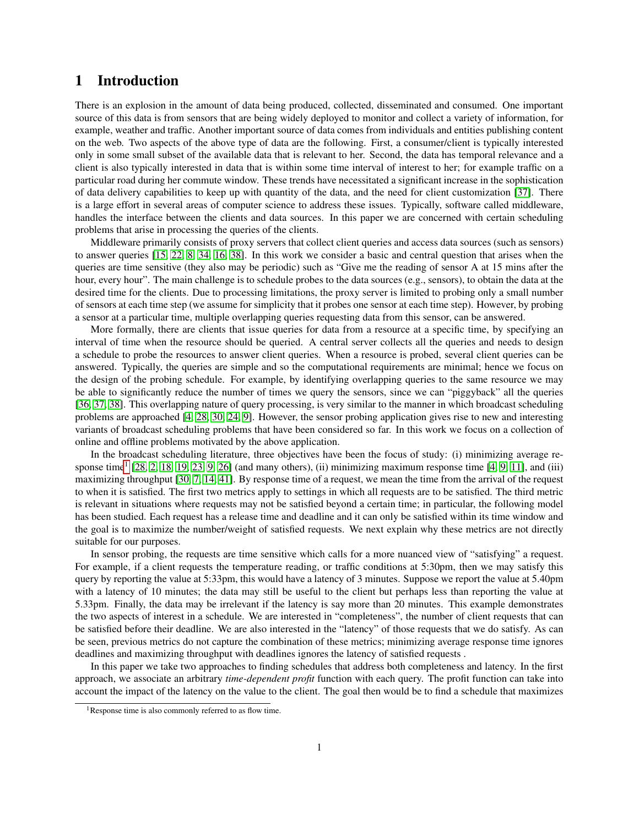## 1 Introduction

There is an explosion in the amount of data being produced, collected, disseminated and consumed. One important source of this data is from sensors that are being widely deployed to monitor and collect a variety of information, for example, weather and traffic. Another important source of data comes from individuals and entities publishing content on the web. Two aspects of the above type of data are the following. First, a consumer/client is typically interested only in some small subset of the available data that is relevant to her. Second, the data has temporal relevance and a client is also typically interested in data that is within some time interval of interest to her; for example traffic on a particular road during her commute window. These trends have necessitated a significant increase in the sophistication of data delivery capabilities to keep up with quantity of the data, and the need for client customization [\[37\]](#page-14-0). There is a large effort in several areas of computer science to address these issues. Typically, software called middleware, handles the interface between the clients and data sources. In this paper we are concerned with certain scheduling problems that arise in processing the queries of the clients.

Middleware primarily consists of proxy servers that collect client queries and access data sources (such as sensors) to answer queries [\[15,](#page-13-0) [22,](#page-14-1) [8,](#page-13-1) [34,](#page-14-2) [16,](#page-13-2) [38\]](#page-14-3). In this work we consider a basic and central question that arises when the queries are time sensitive (they also may be periodic) such as "Give me the reading of sensor A at 15 mins after the hour, every hour". The main challenge is to schedule probes to the data sources (e.g., sensors), to obtain the data at the desired time for the clients. Due to processing limitations, the proxy server is limited to probing only a small number of sensors at each time step (we assume for simplicity that it probes one sensor at each time step). However, by probing a sensor at a particular time, multiple overlapping queries requesting data from this sensor, can be answered.

More formally, there are clients that issue queries for data from a resource at a specific time, by specifying an interval of time when the resource should be queried. A central server collects all the queries and needs to design a schedule to probe the resources to answer client queries. When a resource is probed, several client queries can be answered. Typically, the queries are simple and so the computational requirements are minimal; hence we focus on the design of the probing schedule. For example, by identifying overlapping queries to the same resource we may be able to significantly reduce the number of times we query the sensors, since we can "piggyback" all the queries [\[36,](#page-14-4) [37,](#page-14-0) [38\]](#page-14-3). This overlapping nature of query processing, is very similar to the manner in which broadcast scheduling problems are approached [\[4,](#page-13-3) [28,](#page-14-5) [30,](#page-14-6) [24,](#page-14-7) [9\]](#page-13-4). However, the sensor probing application gives rise to new and interesting variants of broadcast scheduling problems that have been considered so far. In this work we focus on a collection of online and offline problems motivated by the above application.

In the broadcast scheduling literature, three objectives have been the focus of study: (i) minimizing average re-sponse time<sup>[1](#page-1-0)</sup> [\[28,](#page-14-5) [2,](#page-13-5) [18,](#page-13-6) [19,](#page-13-7) [23,](#page-14-8) [9,](#page-13-4) [26\]](#page-14-9) (and many others), (ii) minimizing maximum response time [\[4,](#page-13-3) 9, [11\]](#page-13-8), and (iii) maximizing throughput [\[30,](#page-14-6) [7,](#page-13-9) [14,](#page-13-10) [41\]](#page-14-10). By response time of a request, we mean the time from the arrival of the request to when it is satisfied. The first two metrics apply to settings in which all requests are to be satisfied. The third metric is relevant in situations where requests may not be satisfied beyond a certain time; in particular, the following model has been studied. Each request has a release time and deadline and it can only be satisfied within its time window and the goal is to maximize the number/weight of satisfied requests. We next explain why these metrics are not directly suitable for our purposes.

In sensor probing, the requests are time sensitive which calls for a more nuanced view of "satisfying" a request. For example, if a client requests the temperature reading, or traffic conditions at 5:30pm, then we may satisfy this query by reporting the value at 5:33pm, this would have a latency of 3 minutes. Suppose we report the value at 5.40pm with a latency of 10 minutes; the data may still be useful to the client but perhaps less than reporting the value at 5.33pm. Finally, the data may be irrelevant if the latency is say more than 20 minutes. This example demonstrates the two aspects of interest in a schedule. We are interested in "completeness", the number of client requests that can be satisfied before their deadline. We are also interested in the "latency" of those requests that we do satisfy. As can be seen, previous metrics do not capture the combination of these metrics; minimizing average response time ignores deadlines and maximizing throughput with deadlines ignores the latency of satisfied requests .

In this paper we take two approaches to finding schedules that address both completeness and latency. In the first approach, we associate an arbitrary *time-dependent profit* function with each query. The profit function can take into account the impact of the latency on the value to the client. The goal then would be to find a schedule that maximizes

<span id="page-1-0"></span><sup>&</sup>lt;sup>1</sup>Response time is also commonly referred to as flow time.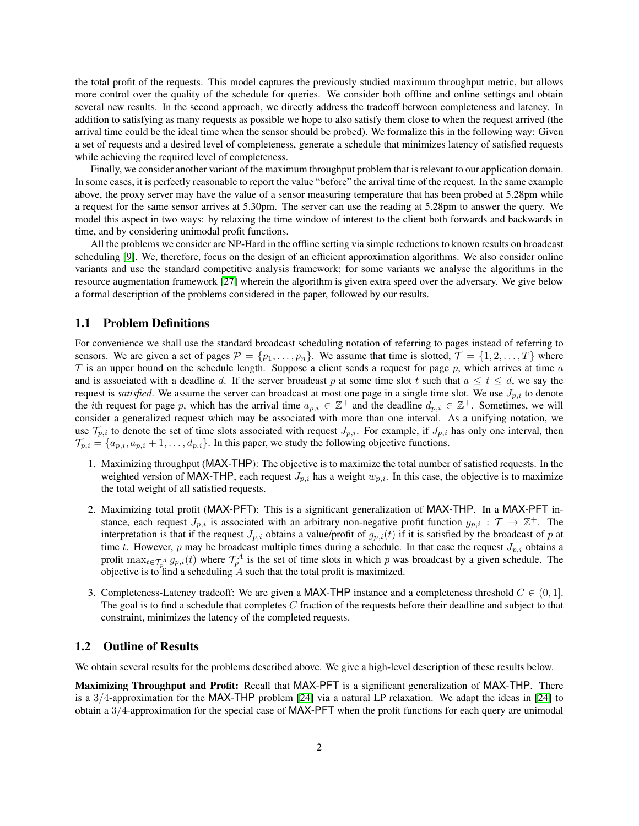the total profit of the requests. This model captures the previously studied maximum throughput metric, but allows more control over the quality of the schedule for queries. We consider both offline and online settings and obtain several new results. In the second approach, we directly address the tradeoff between completeness and latency. In addition to satisfying as many requests as possible we hope to also satisfy them close to when the request arrived (the arrival time could be the ideal time when the sensor should be probed). We formalize this in the following way: Given a set of requests and a desired level of completeness, generate a schedule that minimizes latency of satisfied requests while achieving the required level of completeness.

Finally, we consider another variant of the maximum throughput problem that is relevant to our application domain. In some cases, it is perfectly reasonable to report the value "before" the arrival time of the request. In the same example above, the proxy server may have the value of a sensor measuring temperature that has been probed at 5.28pm while a request for the same sensor arrives at 5.30pm. The server can use the reading at 5.28pm to answer the query. We model this aspect in two ways: by relaxing the time window of interest to the client both forwards and backwards in time, and by considering unimodal profit functions.

All the problems we consider are NP-Hard in the offline setting via simple reductions to known results on broadcast scheduling [\[9\]](#page-13-4). We, therefore, focus on the design of an efficient approximation algorithms. We also consider online variants and use the standard competitive analysis framework; for some variants we analyse the algorithms in the resource augmentation framework [\[27\]](#page-14-11) wherein the algorithm is given extra speed over the adversary. We give below a formal description of the problems considered in the paper, followed by our results.

#### 1.1 Problem Definitions

For convenience we shall use the standard broadcast scheduling notation of referring to pages instead of referring to sensors. We are given a set of pages  $\mathcal{P} = \{p_1, \ldots, p_n\}$ . We assume that time is slotted,  $\mathcal{T} = \{1, 2, \ldots, T\}$  where T is an upper bound on the schedule length. Suppose a client sends a request for page p, which arrives at time  $a$ and is associated with a deadline d. If the server broadcast p at some time slot t such that  $a \le t \le d$ , we say the request is *satisfied*. We assume the server can broadcast at most one page in a single time slot. We use  $J_{p,i}$  to denote the *i*th request for page p, which has the arrival time  $a_{p,i} \in \mathbb{Z}^+$  and the deadline  $d_{p,i} \in \mathbb{Z}^+$ . Sometimes, we will consider a generalized request which may be associated with more than one interval. As a unifying notation, we use  $\mathcal{T}_{p,i}$  to denote the set of time slots associated with request  $J_{p,i}$ . For example, if  $J_{p,i}$  has only one interval, then  $\mathcal{T}_{p,i} = \{a_{p,i}, a_{p,i} + 1, \ldots, a_{p,i}\}.$  In this paper, we study the following objective functions.

- 1. Maximizing throughput (MAX-THP): The objective is to maximize the total number of satisfied requests. In the weighted version of MAX-THP, each request  $J_{p,i}$  has a weight  $w_{p,i}$ . In this case, the objective is to maximize the total weight of all satisfied requests.
- 2. Maximizing total profit (MAX-PFT): This is a significant generalization of MAX-THP. In a MAX-PFT instance, each request  $J_{p,i}$  is associated with an arbitrary non-negative profit function  $g_{p,i} : \mathcal{T} \to \mathbb{Z}^+$ . The interpretation is that if the request  $J_{p,i}$  obtains a value/profit of  $g_{p,i}(t)$  if it is satisfied by the broadcast of p at time t. However, p may be broadcast multiple times during a schedule. In that case the request  $J_{p,i}$  obtains a profit  $\max_{t \in \mathcal{T}_p^A} g_{p,i}(t)$  where  $\mathcal{T}_p^A$  is the set of time slots in which p was broadcast by a given schedule. The objective is to find a scheduling  $A$  such that the total profit is maximized.
- 3. Completeness-Latency tradeoff: We are given a MAX-THP instance and a completeness threshold  $C \in (0, 1]$ . The goal is to find a schedule that completes C fraction of the requests before their deadline and subject to that constraint, minimizes the latency of the completed requests.

#### 1.2 Outline of Results

We obtain several results for the problems described above. We give a high-level description of these results below.

Maximizing Throughput and Profit: Recall that MAX-PFT is a significant generalization of MAX-THP. There is a 3/4-approximation for the MAX-THP problem [\[24\]](#page-14-7) via a natural LP relaxation. We adapt the ideas in [\[24\]](#page-14-7) to obtain a 3/4-approximation for the special case of MAX-PFT when the profit functions for each query are unimodal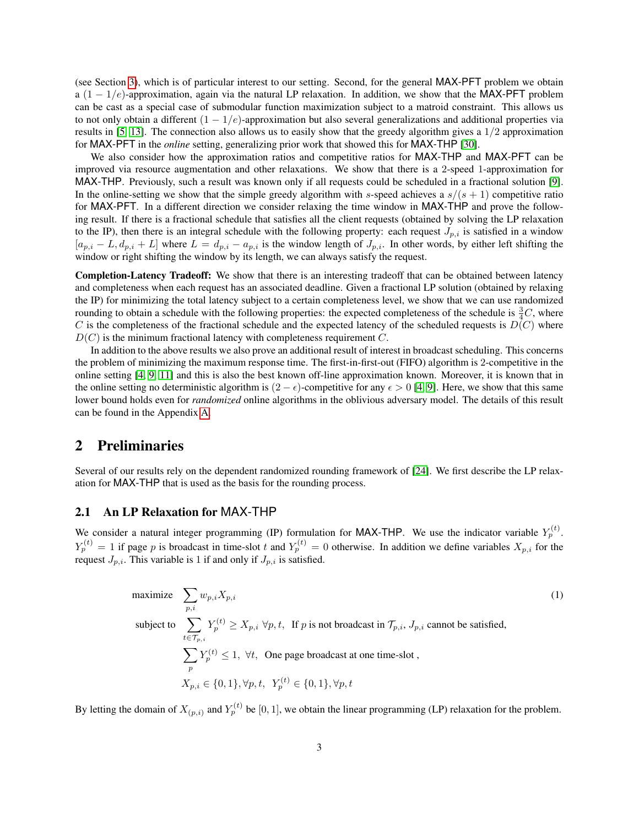(see Section [3\)](#page-4-0), which is of particular interest to our setting. Second, for the general MAX-PFT problem we obtain a (1 − 1/e)-approximation, again via the natural LP relaxation. In addition, we show that the MAX-PFT problem can be cast as a special case of submodular function maximization subject to a matroid constraint. This allows us to not only obtain a different  $(1 - 1/e)$ -approximation but also several generalizations and additional properties via results in [\[5,](#page-13-11) [13\]](#page-13-12). The connection also allows us to easily show that the greedy algorithm gives a  $1/2$  approximation for MAX-PFT in the *online* setting, generalizing prior work that showed this for MAX-THP [\[30\]](#page-14-6).

We also consider how the approximation ratios and competitive ratios for MAX-THP and MAX-PFT can be improved via resource augmentation and other relaxations. We show that there is a 2-speed 1-approximation for MAX-THP. Previously, such a result was known only if all requests could be scheduled in a fractional solution [\[9\]](#page-13-4). In the online-setting we show that the simple greedy algorithm with s-speed achieves a  $s/(s + 1)$  competitive ratio for MAX-PFT. In a different direction we consider relaxing the time window in MAX-THP and prove the following result. If there is a fractional schedule that satisfies all the client requests (obtained by solving the LP relaxation to the IP), then there is an integral schedule with the following property: each request  $J_{p,i}$  is satisfied in a window  $[a_{p,i} - L, d_{p,i} + L]$  where  $L = d_{p,i} - a_{p,i}$  is the window length of  $J_{p,i}$ . In other words, by either left shifting the window or right shifting the window by its length, we can always satisfy the request.

Completion-Latency Tradeoff: We show that there is an interesting tradeoff that can be obtained between latency and completeness when each request has an associated deadline. Given a fractional LP solution (obtained by relaxing the IP) for minimizing the total latency subject to a certain completeness level, we show that we can use randomized rounding to obtain a schedule with the following properties: the expected completeness of the schedule is  $\frac{3}{4}C$ , where C is the completeness of the fractional schedule and the expected latency of the scheduled requests is  $D(C)$  where  $D(C)$  is the minimum fractional latency with completeness requirement C.

In addition to the above results we also prove an additional result of interest in broadcast scheduling. This concerns the problem of minimizing the maximum response time. The first-in-first-out (FIFO) algorithm is 2-competitive in the online setting [\[4,](#page-13-3) [9,](#page-13-4) [11\]](#page-13-8) and this is also the best known off-line approximation known. Moreover, it is known that in the online setting no deterministic algorithm is  $(2 - \epsilon)$ -competitive for any  $\epsilon > 0$  [\[4,](#page-13-3) [9\]](#page-13-4). Here, we show that this same lower bound holds even for *randomized* online algorithms in the oblivious adversary model. The details of this result can be found in the Appendix [A.](#page-15-0)

## 2 Preliminaries

Several of our results rely on the dependent randomized rounding framework of [\[24\]](#page-14-7). We first describe the LP relaxation for MAX-THP that is used as the basis for the rounding process.

### 2.1 An LP Relaxation for MAX-THP

We consider a natural integer programming (IP) formulation for MAX-THP. We use the indicator variable  $Y_p^{(t)}$ .  $Y_p^{(t)} = 1$  if page p is broadcast in time-slot t and  $Y_p^{(t)} = 0$  otherwise. In addition we define variables  $X_{p,i}$  for the request  $J_{p,i}$ . This variable is 1 if and only if  $J_{p,i}$  is satisfied.

<span id="page-3-0"></span>maximize 
$$
\sum_{p,i} w_{p,i} X_{p,i}
$$
\nsubject to 
$$
\sum_{t \in \mathcal{T}_{p,i}} Y_p^{(t)} \ge X_{p,i} \ \forall p, t, \text{ If } p \text{ is not broadcast in } \mathcal{T}_{p,i}, J_{p,i} \text{ cannot be satisfied,}
$$
\n
$$
\sum_p Y_p^{(t)} \le 1, \ \forall t, \text{ One page broadcast at one time-slot,}
$$
\n
$$
X_{p,i} \in \{0, 1\}, \forall p, t, \ Y_p^{(t)} \in \{0, 1\}, \forall p, t
$$
\n(1)

By letting the domain of  $X_{(p,i)}$  and  $Y_p^{(t)}$  be [0, 1], we obtain the linear programming (LP) relaxation for the problem.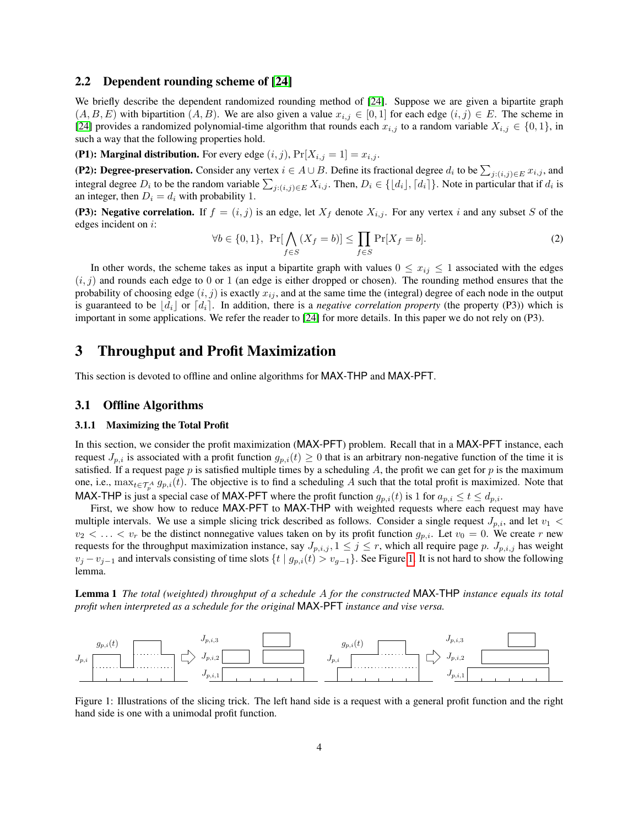#### 2.2 Dependent rounding scheme of [\[24\]](#page-14-7)

We briefly describe the dependent randomized rounding method of [\[24\]](#page-14-7). Suppose we are given a bipartite graph  $(A, B, E)$  with bipartition  $(A, B)$ . We are also given a value  $x_{i,j} \in [0, 1]$  for each edge  $(i, j) \in E$ . The scheme in [\[24\]](#page-14-7) provides a randomized polynomial-time algorithm that rounds each  $x_{i,j}$  to a random variable  $X_{i,j} \in \{0,1\}$ , in such a way that the following properties hold.

(P1): Marginal distribution. For every edge  $(i, j)$ ,  $Pr[X_{i,j} = 1] = x_{i,j}$ .

(P2): Degree-preservation. Consider any vertex  $i \in A \cup B$ . Define its fractional degree  $d_i$  to be  $\sum_{j:(i,j)\in E} x_{i,j}$ , and integral degree  $D_i$  to be the random variable  $\sum_{j:(i,j)\in E} X_{i,j}$ . Then,  $D_i \in \{\lfloor d_i \rfloor, \lceil d_i \rceil\}$ . Note in particular that if  $d_i$  is an integer, then  $D_i = d_i$  with probability 1.

(P3): Negative correlation. If  $f = (i, j)$  is an edge, let  $X_f$  denote  $X_{i,j}$ . For any vertex i and any subset S of the edges incident on i:

$$
\forall b \in \{0, 1\}, \ \Pr[\bigwedge_{f \in S} (X_f = b)] \le \prod_{f \in S} \Pr[X_f = b]. \tag{2}
$$

In other words, the scheme takes as input a bipartite graph with values  $0 \le x_{ij} \le 1$  associated with the edges  $(i, j)$  and rounds each edge to 0 or 1 (an edge is either dropped or chosen). The rounding method ensures that the probability of choosing edge  $(i, j)$  is exactly  $x_{ij}$ , and at the same time the (integral) degree of each node in the output is guaranteed to be  $\left|d_i\right|$  or  $\left|d_i\right|$ . In addition, there is a *negative correlation property* (the property (P3)) which is important in some applications. We refer the reader to [\[24\]](#page-14-7) for more details. In this paper we do not rely on (P3).

## <span id="page-4-0"></span>3 Throughput and Profit Maximization

This section is devoted to offline and online algorithms for MAX-THP and MAX-PFT.

#### 3.1 Offline Algorithms

#### 3.1.1 Maximizing the Total Profit

In this section, we consider the profit maximization (MAX-PFT) problem. Recall that in a MAX-PFT instance, each request  $J_{p,i}$  is associated with a profit function  $g_{p,i}(t) \geq 0$  that is an arbitrary non-negative function of the time it is satisfied. If a request page  $p$  is satisfied multiple times by a scheduling  $A$ , the profit we can get for  $p$  is the maximum one, i.e.,  $\max_{t \in \mathcal{T}_p^A} g_{p,i}(t)$ . The objective is to find a scheduling A such that the total profit is maximized. Note that MAX-THP is just a special case of MAX-PFT where the profit function  $g_{p,i}(t)$  is 1 for  $a_{p,i} \le t \le d_{p,i}$ .

First, we show how to reduce MAX-PFT to MAX-THP with weighted requests where each request may have multiple intervals. We use a simple slicing trick described as follows. Consider a single request  $J_{p,i}$ , and let  $v_1$  <  $v_2 < \ldots < v_r$  be the distinct nonnegative values taken on by its profit function  $g_{p,i}$ . Let  $v_0 = 0$ . We create r new requests for the throughput maximization instance, say  $J_{p,i,j}$ ,  $1 \leq j \leq r$ , which all require page p.  $J_{p,i,j}$  has weight  $v_j - v_{j-1}$  and intervals consisting of time slots  $\{t \mid g_{p,i}(t) > v_{q-1}\}\)$ . See Figure [1.](#page-4-1) It is not hard to show the following lemma.

Lemma 1 *The total (weighted) throughput of a schedule* A *for the constructed* MAX-THP *instance equals its total profit when interpreted as a schedule for the original* MAX-PFT *instance and vise versa.*



<span id="page-4-1"></span>Figure 1: Illustrations of the slicing trick. The left hand side is a request with a general profit function and the right hand side is one with a unimodal profit function.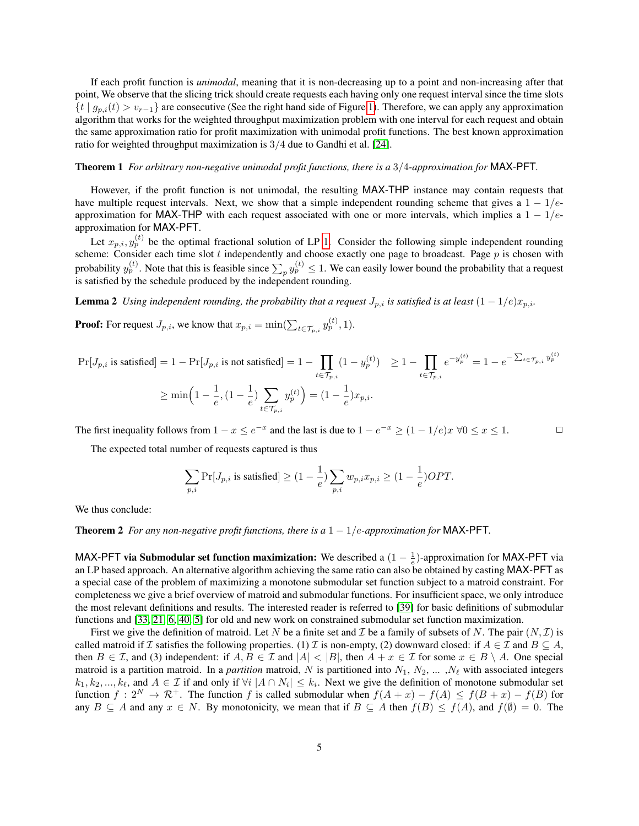If each profit function is *unimodal*, meaning that it is non-decreasing up to a point and non-increasing after that point, We observe that the slicing trick should create requests each having only one request interval since the time slots  $\{t \mid g_{p,i}(t) > v_{r-1}\}\$ are consecutive (See the right hand side of Figure [1\)](#page-4-1). Therefore, we can apply any approximation algorithm that works for the weighted throughput maximization problem with one interval for each request and obtain the same approximation ratio for profit maximization with unimodal profit functions. The best known approximation ratio for weighted throughput maximization is 3/4 due to Gandhi et al. [\[24\]](#page-14-7).

#### Theorem 1 *For arbitrary non-negative unimodal profit functions, there is a* 3/4*-approximation for* MAX-PFT*.*

However, if the profit function is not unimodal, the resulting MAX-THP instance may contain requests that have multiple request intervals. Next, we show that a simple independent rounding scheme that gives a  $1 - 1/e$ approximation for MAX-THP with each request associated with one or more intervals, which implies a  $1 - 1/e$ approximation for MAX-PFT.

Let  $x_{p,i}, y_p^{(t)}$  be the optimal fractional solution of LP [1.](#page-3-0) Consider the following simple independent rounding scheme: Consider each time slot  $t$  independently and choose exactly one page to broadcast. Page  $p$  is chosen with probability  $y_p^{(t)}$ . Note that this is feasible since  $\sum_p y_p^{(t)} \leq 1$ . We can easily lower bound the probability that a request is satisfied by the schedule produced by the independent rounding.

**Lemma 2** *Using independent rounding, the probability that a request*  $J_{p,i}$  *is satisfied is at least*  $(1 - 1/e)x_{p,i}$ *.* 

**Proof:** For request  $J_{p,i}$ , we know that  $x_{p,i} = \min(\sum_{t \in \mathcal{T}_{p,i}} y_p^{(t)}, 1)$ .

$$
\Pr[J_{p,i} \text{ is satisfied}] = 1 - \Pr[J_{p,i} \text{ is not satisfied}] = 1 - \prod_{t \in \mathcal{T}_{p,i}} (1 - y_p^{(t)}) \ge 1 - \prod_{t \in \mathcal{T}_{p,i}} e^{-y_p^{(t)}} = 1 - e^{-\sum_{t \in \mathcal{T}_{p,i}} y_p^{(t)}}
$$
\n
$$
\ge \min\left(1 - \frac{1}{e}, (1 - \frac{1}{e}) \sum_{t \in \mathcal{T}_{p,i}} y_p^{(t)}\right) = (1 - \frac{1}{e})x_{p,i}.
$$

The first inequality follows from  $1 - x \le e^{-x}$  and the last is due to  $1 - e^{-x} \ge (1 - 1/e)x \ \forall 0 \le x \le 1$ .

The expected total number of requests captured is thus

<span id="page-5-0"></span>
$$
\sum_{p,i} \Pr[J_{p,i} \text{ is satisfied}] \ge (1 - \frac{1}{e}) \sum_{p,i} w_{p,i} x_{p,i} \ge (1 - \frac{1}{e}) OPT.
$$

We thus conclude:

#### **Theorem 2** *For any non-negative profit functions, there is a*  $1 - 1/e$ *-approximation for* MAX-PFT.

MAX-PFT via Submodular set function maximization: We described a  $(1 - \frac{1}{e})$ -approximation for MAX-PFT via an LP based approach. An alternative algorithm achieving the same ratio can also be obtained by casting MAX-PFT as a special case of the problem of maximizing a monotone submodular set function subject to a matroid constraint. For completeness we give a brief overview of matroid and submodular functions. For insufficient space, we only introduce the most relevant definitions and results. The interested reader is referred to [\[39\]](#page-14-12) for basic definitions of submodular functions and [\[33,](#page-14-13) [21,](#page-14-14) [6,](#page-13-13) [40,](#page-14-15) [5\]](#page-13-11) for old and new work on constrained submodular set function maximization.

First we give the definition of matroid. Let N be a finite set and T be a family of subsets of N. The pair  $(N, \mathcal{I})$  is called matroid if I satisfies the following properties. (1) I is non-empty, (2) downward closed: if  $A \in \mathcal{I}$  and  $B \subseteq A$ , then  $B \in \mathcal{I}$ , and (3) independent: if  $A, B \in \mathcal{I}$  and  $|A| < |B|$ , then  $A + x \in \mathcal{I}$  for some  $x \in B \setminus A$ . One special matroid is a partition matroid. In a *partition* matroid, N is partitioned into  $N_1, N_2, \ldots, N_\ell$  with associated integers  $k_1, k_2, ..., k_\ell$ , and  $A \in \mathcal{I}$  if and only if  $\forall i \ |A \cap N_i| \leq k_i$ . Next we give the definition of monotone submodular set function  $f: 2^N \to \mathcal{R}^+$ . The function f is called submodular when  $f(A+x) - f(A) \leq f(B+x) - f(B)$  for any  $B \subseteq A$  and any  $x \in N$ . By monotonicity, we mean that if  $B \subseteq A$  then  $f(B) \leq f(A)$ , and  $f(\emptyset) = 0$ . The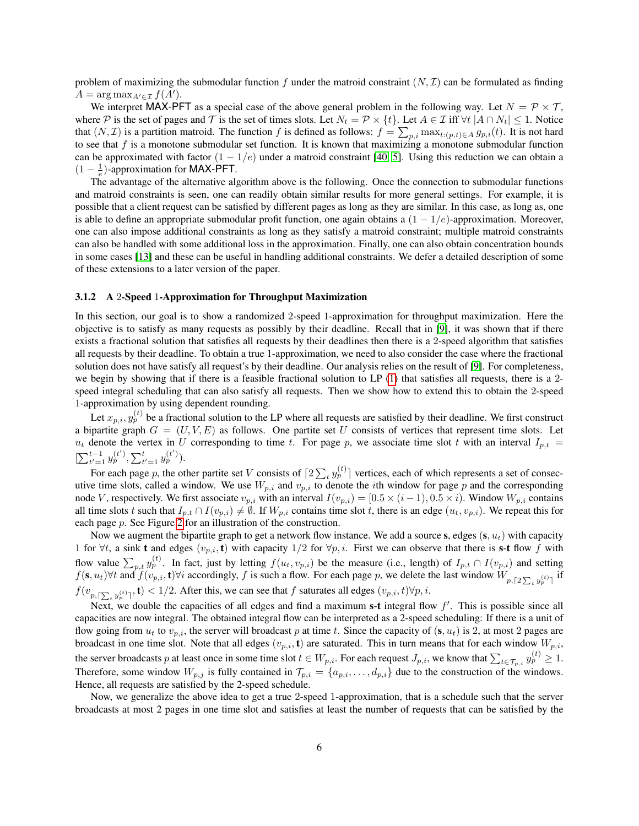problem of maximizing the submodular function f under the matroid constraint  $(N, \mathcal{I})$  can be formulated as finding  $A = \arg \max_{A' \in \mathcal{I}} f(A').$ 

We interpret MAX-PFT as a special case of the above general problem in the following way. Let  $N = \mathcal{P} \times \mathcal{T}$ , where P is the set of pages and T is the set of times slots. Let  $N_t = \mathcal{P} \times \{t\}$ . Let  $A \in \mathcal{I}$  iff  $\forall t |A \cap N_t| \leq 1$ . Notice that  $(N, \mathcal{I})$  is a partition matroid. The function f is defined as follows:  $f = \sum_{p,i} \max_{t:(p,t)\in A} g_{p,i}(t)$ . It is not hard to see that  $f$  is a monotone submodular set function. It is known that maximizing a monotone submodular function can be approximated with factor  $(1 - 1/e)$  under a matroid constraint [\[40,](#page-14-15) [5\]](#page-13-11). Using this reduction we can obtain a  $(1 - \frac{1}{e})$ -approximation for MAX-PFT.

The advantage of the alternative algorithm above is the following. Once the connection to submodular functions and matroid constraints is seen, one can readily obtain similar results for more general settings. For example, it is possible that a client request can be satisfied by different pages as long as they are similar. In this case, as long as, one is able to define an appropriate submodular profit function, one again obtains a  $(1 - 1/e)$ -approximation. Moreover, one can also impose additional constraints as long as they satisfy a matroid constraint; multiple matroid constraints can also be handled with some additional loss in the approximation. Finally, one can also obtain concentration bounds in some cases [\[13\]](#page-13-12) and these can be useful in handling additional constraints. We defer a detailed description of some of these extensions to a later version of the paper.

#### 3.1.2 A 2-Speed 1-Approximation for Throughput Maximization

In this section, our goal is to show a randomized 2-speed 1-approximation for throughput maximization. Here the objective is to satisfy as many requests as possibly by their deadline. Recall that in [\[9\]](#page-13-4), it was shown that if there exists a fractional solution that satisfies all requests by their deadlines then there is a 2-speed algorithm that satisfies all requests by their deadline. To obtain a true 1-approximation, we need to also consider the case where the fractional solution does not have satisfy all request's by their deadline. Our analysis relies on the result of [\[9\]](#page-13-4). For completeness, we begin by showing that if there is a feasible fractional solution to LP [\(1\)](#page-3-0) that satisfies all requests, there is a 2 speed integral scheduling that can also satisfy all requests. Then we show how to extend this to obtain the 2-speed 1-approximation by using dependent rounding.

Let  $x_{p,i}, y_p^{(t)}$  be a fractional solution to the LP where all requests are satisfied by their deadline. We first construct a bipartite graph  $G = (U, V, E)$  as follows. One partite set U consists of vertices that represent time slots. Let  $u_t$  denote the vertex in U corresponding to time t. For page p, we associate time slot t with an interval  $I_{p,t}$  =  $[\sum_{t'=1}^{t-1} y_p^{(t')}, \sum_{t'=1}^{t} y_p^{(t')}).$ 

For each page p, the other partite set V consists of  $[2\sum_t y_p^{(t)}]$  vertices, each of which represents a set of consecutive time slots, called a window. We use  $W_{p,i}$  and  $v_{p,i}$  to denote the *i*th window for page p and the corresponding node V, respectively. We first associate  $v_{p,i}$  with an interval  $I(v_{p,i}) = [0.5 \times (i-1), 0.5 \times i)$ . Window  $W_{p,i}$  contains all time slots t such that  $I_{p,t} \cap I(v_{p,i}) \neq \emptyset$ . If  $W_{p,i}$  contains time slot t, there is an edge  $(u_t, v_{p,i})$ . We repeat this for each page p. See Figure [2](#page-7-0) for an illustration of the construction.

Now we augment the bipartite graph to get a network flow instance. We add a source s, edges  $(s, u_t)$  with capacity 1 for  $\forall t$ , a sink **t** and edges  $(v_p, i, t)$  with capacity 1/2 for  $\forall p, i$ . First we can observe that there is s-**t** flow f with flow value  $\sum_{p,t} y_p^{(t)}$ . In fact, just by letting  $f(u_t, v_{p,i})$  be the measure (i.e., length) of  $I_{p,t} \cap I(v_{p,i})$  and setting  $f(\mathbf{s}, u_t)$   $\forall t$  and  $f(v_{p,i}, \mathbf{t})$   $\forall i$  accordingly, f is such a flow. For each page p, we delete the last window  $W_{p, \lceil 2 \sum_t y_p^{(t)} \rceil}$  if  $f(v_{p, \lceil \sum_t y^{(t)}_p \rceil}, \mathbf{t}) < 1/2$ . After this, we can see that f saturates all edges  $(v_{p,i}, t) \forall p, i$ .

Next, we double the capacities of all edges and find a maximum s-t integral flow  $f'$ . This is possible since all capacities are now integral. The obtained integral flow can be interpreted as a 2-speed scheduling: If there is a unit of flow going from  $u_t$  to  $v_{p,i}$ , the server will broadcast p at time t. Since the capacity of  $(s, u_t)$  is 2, at most 2 pages are broadcast in one time slot. Note that all edges  $(v_{p,i}, \mathbf{t})$  are saturated. This in turn means that for each window  $W_{p,i}$ , the server broadcasts p at least once in some time slot  $t \in W_{p,i}$ . For each request  $J_{p,i}$ , we know that  $\sum_{t \in \mathcal{T}_{p,i}} y_p^{(t)} \geq 1$ . Therefore, some window  $W_{p,j}$  is fully contained in  $\mathcal{T}_{p,i} = \{a_{p,i}, \ldots, d_{p,i}\}\$  due to the construction of the windows. Hence, all requests are satisfied by the 2-speed schedule.

Now, we generalize the above idea to get a true 2-speed 1-approximation, that is a schedule such that the server broadcasts at most 2 pages in one time slot and satisfies at least the number of requests that can be satisfied by the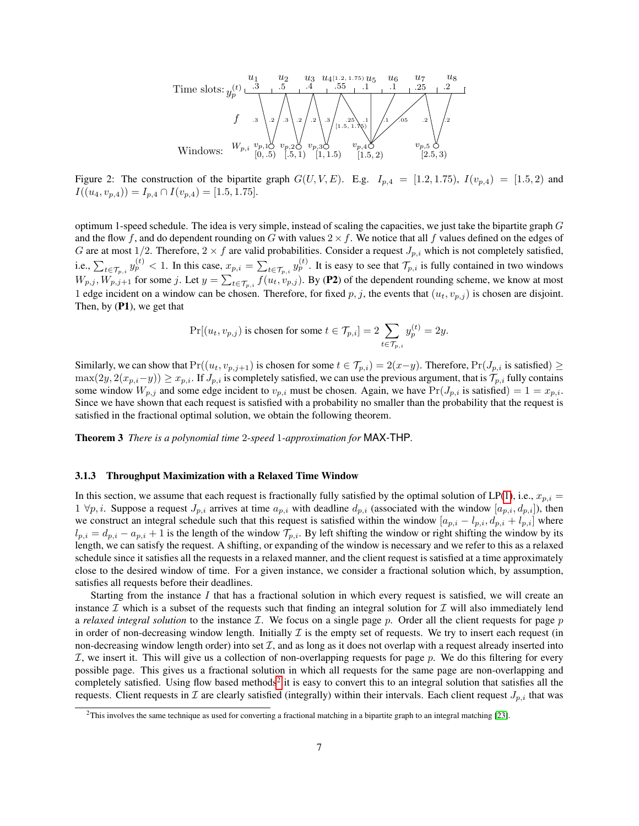Time slots: 
$$
y_p^{(t)} \xrightarrow{\begin{array}{c} u_1 & u_2 & u_3 & u_{4[1.2, 1.75)} u_5 & u_6 & u_7 & u_8 \end{array}}
$$
  
\n $f$   $\xrightarrow{3}$   $\xrightarrow{2}$   $\xrightarrow{3}$   $\xrightarrow{2}$   $\xrightarrow{3}$   $\xrightarrow{2}$   $\xrightarrow{3}$   $\xrightarrow{2}$   $\xrightarrow{3}$   $\xrightarrow{2}$   $\xrightarrow{3}$   $\xrightarrow{2}$   $\xrightarrow{2}$   $\xrightarrow{3}$   $\xrightarrow{2}$   $\xrightarrow{2}$   $\xrightarrow{3}$   $\xrightarrow{2}$   $\xrightarrow{2}$   $\xrightarrow{1}$   $\xrightarrow{05}$   $\xrightarrow{2}$   $\xrightarrow{2}$   $\xrightarrow{2}$   $\xrightarrow{2}$   $\xrightarrow{2}$   $\xrightarrow{2}$   $\xrightarrow{2}$   $\xrightarrow{2}$   $\xrightarrow{2}$   $\xrightarrow{2}$   $\xrightarrow{2}$   $\xrightarrow{2}$   $\xrightarrow{2}$   $\xrightarrow{2}$   $\xrightarrow{2}$   $\xrightarrow{2}$   $\xrightarrow{2}$   $\xrightarrow{2}$   $\xrightarrow{2}$   $\xrightarrow{2}$   $\xrightarrow{2}$   $\xrightarrow{2}$   $\xrightarrow{2}$   $\xrightarrow{2}$   $\xrightarrow{2}$   $\xrightarrow{2}$   $\xrightarrow{2}$   $\xrightarrow{2}$   $\xrightarrow{2}$   $\xrightarrow{2}$   $\xrightarrow{2}$   $\xrightarrow{2}$   $\xrightarrow{2}$   $\xrightarrow{2}$   $\xrightarrow{2}$   $\xrightarrow{2}$   $\xrightarrow{2}$   $\xrightarrow{2}$   $\xrightarrow{2}$   $\xrightarrow{2}$   $\xrightarrow{2}$   $\xrightarrow{2}$   $\xrightarrow{2}$   $\xrightarrow{2}$   $\xrightarrow{2}$   $\xrightarrow{2}$   $\xrightarrow{2}$   $\xrightarrow{$ 

<span id="page-7-0"></span>Figure 2: The construction of the bipartite graph  $G(U, V, E)$ . E.g.  $I_{p,4} = [1.2, 1.75), I(v_{p,4}) = [1.5, 2)$  and  $I((u_4, v_{p,4})) = I_{p,4} \cap I(v_{p,4}) = [1.5, 1.75].$ 

optimum 1-speed schedule. The idea is very simple, instead of scaling the capacities, we just take the bipartite graph  $G$ and the flow f, and do dependent rounding on G with values  $2 \times f$ . We notice that all f values defined on the edges of G are at most 1/2. Therefore,  $2 \times f$  are valid probabilities. Consider a request  $J_{p,i}$  which is not completely satisfied, i.e.,  $\sum_{t \in \mathcal{T}_{p,i}} y_p^{(t)} < 1$ . In this case,  $x_{p,i} = \sum_{t \in \mathcal{T}_{p,i}} y_p^{(t)}$ . It is easy to see that  $\mathcal{T}_{p,i}$  is fully contained in two windows  $W_{p,j}, W_{p,j+1}$  for some j. Let  $y = \sum_{t \in \mathcal{T}_{p,i}} f(u_t, v_{p,j})$ . By (P2) of the dependent rounding scheme, we know at most 1 edge incident on a window can be chosen. Therefore, for fixed p, j, the events that  $(u_t, v_{p,i})$  is chosen are disjoint. Then, by (P1), we get that

$$
\Pr[(u_t, v_{p,j}) \text{ is chosen for some } t \in \mathcal{T}_{p,i}] = 2 \sum_{t \in \mathcal{T}_{p,i}} y_p^{(t)} = 2y.
$$

Similarly, we can show that  $Pr((u_t, v_{p,j+1})$  is chosen for some  $t \in \mathcal{T}_{p,i}$  = 2(x−y). Therefore,  $Pr(J_{p,i}$  is satisfied) ≥  $\max(2y, 2(x_{p,i}-y)) \ge x_{p,i}$ . If  $J_{p,i}$  is completely satisfied, we can use the previous argument, that is  $\mathcal{T}_{p,i}$  fully contains some window  $W_{p,j}$  and some edge incident to  $v_{p,i}$  must be chosen. Again, we have  $Pr(J_{p,i}$  is satisfied) = 1 =  $x_{p,i}$ . Since we have shown that each request is satisfied with a probability no smaller than the probability that the request is satisfied in the fractional optimal solution, we obtain the following theorem.

Theorem 3 *There is a polynomial time* 2*-speed* 1*-approximation for* MAX-THP*.*

#### 3.1.3 Throughput Maximization with a Relaxed Time Window

In this section, we assume that each request is fractionally fully satisfied by the optimal solution of LP[\(1\)](#page-3-0), i.e.,  $x_{p,i} =$  $1 \forall p, i$ . Suppose a request  $J_{p,i}$  arrives at time  $a_{p,i}$  with deadline  $d_{p,i}$  (associated with the window  $[a_{p,i}, d_{p,i}]$ ), then we construct an integral schedule such that this request is satisfied within the window  $[a_{p,i} - l_{p,i}, d_{p,i} + l_{p,i}]$  where  $l_{p,i} = d_{p,i} - a_{p,i} + 1$  is the length of the window  $\mathcal{T}_{p,i}$ . By left shifting the window or right shifting the window by its length, we can satisfy the request. A shifting, or expanding of the window is necessary and we refer to this as a relaxed schedule since it satisfies all the requests in a relaxed manner, and the client request is satisfied at a time approximately close to the desired window of time. For a given instance, we consider a fractional solution which, by assumption, satisfies all requests before their deadlines.

Starting from the instance  $I$  that has a fractional solution in which every request is satisfied, we will create an instance  $\mathcal I$  which is a subset of the requests such that finding an integral solution for  $\mathcal I$  will also immediately lend a *relaxed integral solution* to the instance  $I$ . We focus on a single page p. Order all the client requests for page p in order of non-decreasing window length. Initially  $\mathcal I$  is the empty set of requests. We try to insert each request (in non-decreasing window length order) into set  $\mathcal{I}$ , and as long as it does not overlap with a request already inserted into I, we insert it. This will give us a collection of non-overlapping requests for page p. We do this filtering for every possible page. This gives us a fractional solution in which all requests for the same page are non-overlapping and completely satisfied. Using flow based methods<sup>[2](#page-7-1)</sup> it is easy to convert this to an integral solution that satisfies all the requests. Client requests in  $\mathcal I$  are clearly satisfied (integrally) within their intervals. Each client request  $J_{p,i}$  that was

<span id="page-7-1"></span><sup>2</sup>This involves the same technique as used for converting a fractional matching in a bipartite graph to an integral matching [\[23\]](#page-14-8).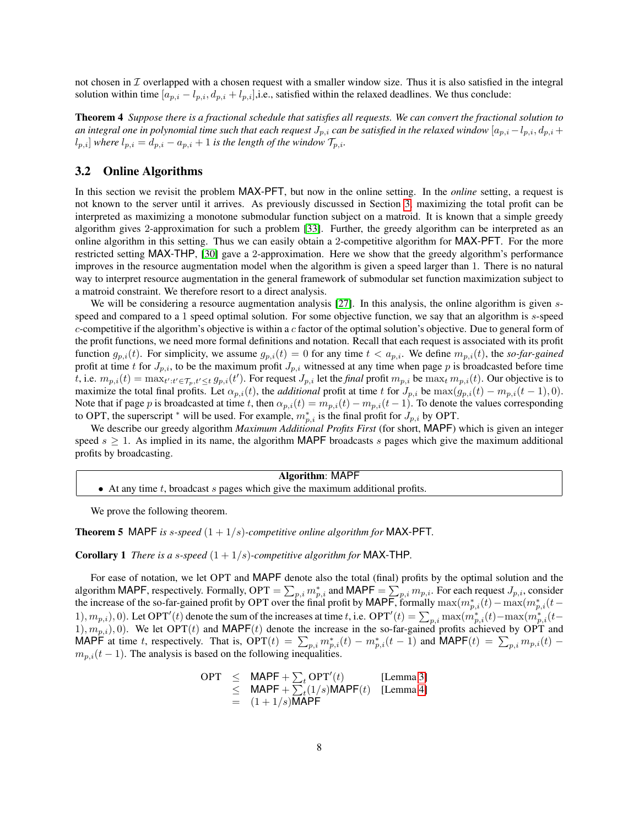not chosen in  $\mathcal I$  overlapped with a chosen request with a smaller window size. Thus it is also satisfied in the integral solution within time  $[a_{p,i} - l_{p,i}, d_{p,i} + l_{p,i}]$ , i.e., satisfied within the relaxed deadlines. We thus conclude:

Theorem 4 *Suppose there is a fractional schedule that satisfies all requests. We can convert the fractional solution to* an integral one in polynomial time such that each request  $J_{p,i}$  can be satisfied in the relaxed window  $[a_{p,i}-l_{p,i},d_{p,i}+l_{p,i}]$  $l_{p,i}$  *where*  $l_{p,i} = d_{p,i} - a_{p,i} + 1$  *is the length of the window*  $\mathcal{T}_{p,i}$ *.* 

## 3.2 Online Algorithms

In this section we revisit the problem MAX-PFT, but now in the online setting. In the *online* setting, a request is not known to the server until it arrives. As previously discussed in Section [3,](#page-4-0) maximizing the total profit can be interpreted as maximizing a monotone submodular function subject on a matroid. It is known that a simple greedy algorithm gives 2-approximation for such a problem [\[33\]](#page-14-13). Further, the greedy algorithm can be interpreted as an online algorithm in this setting. Thus we can easily obtain a 2-competitive algorithm for MAX-PFT. For the more restricted setting MAX-THP, [\[30\]](#page-14-6) gave a 2-approximation. Here we show that the greedy algorithm's performance improves in the resource augmentation model when the algorithm is given a speed larger than 1. There is no natural way to interpret resource augmentation in the general framework of submodular set function maximization subject to a matroid constraint. We therefore resort to a direct analysis.

We will be considering a resource augmentation analysis [\[27\]](#page-14-11). In this analysis, the online algorithm is given sspeed and compared to a 1 speed optimal solution. For some objective function, we say that an algorithm is s-speed  $c$ -competitive if the algorithm's objective is within a  $c$  factor of the optimal solution's objective. Due to general form of the profit functions, we need more formal definitions and notation. Recall that each request is associated with its profit function  $g_{p,i}(t)$ . For simplicity, we assume  $g_{p,i}(t) = 0$  for any time  $t < a_{p,i}$ . We define  $m_{p,i}(t)$ , the *so-far-gained* profit at time t for  $J_{p,i}$ , to be the maximum profit  $J_{p,i}$  witnessed at any time when page p is broadcasted before time t, i.e.  $m_{p,i}(t) = \max_{t':t'\in\mathcal{T}_p,t'\leq t} g_{p,i}(t')$ . For request  $J_{p,i}$  let the *final* profit  $m_{p,i}$  be  $\max_t m_{p,i}(t)$ . Our objective is to maximize the total final profits. Let  $\alpha_{p,i}(t)$ , the *additional* profit at time t for  $J_{p,i}$  be  $\max(g_{p,i}(t) - m_{p,i}(t-1), 0)$ . Note that if page p is broadcasted at time t, then  $\alpha_{p,i}(t) = m_{p,i}(t) - m_{p,i}(t-1)$ . To denote the values corresponding to OPT, the superscript  $*$  will be used. For example,  $m_{p,i}^*$  is the final profit for  $J_{p,i}$  by OPT.

We describe our greedy algorithm *Maximum Additional Profits First* (for short, MAPF) which is given an integer speed  $s \ge 1$ . As implied in its name, the algorithm MAPF broadcasts s pages which give the maximum additional profits by broadcasting.

| <b>Algorithm: MAPF</b>                                                             |  |
|------------------------------------------------------------------------------------|--|
| • At any time $t$ , broadcast $s$ pages which give the maximum additional profits. |  |

We prove the following theorem.

Theorem 5 MAPF *is* s*-speed* (1 + 1/s)*-competitive online algorithm for* MAX-PFT*.*

Corollary 1 *There is a* s*-speed* (1 + 1/s)*-competitive algorithm for* MAX-THP*.*

For ease of notation, we let OPT and MAPF denote also the total (final) profits by the optimal solution and the algorithm MAPF, respectively. Formally,  $OPT = \sum_{p,i} m_{p,i}^*$  and MAPF  $= \sum_{p,i} m_{p,i}$ . For each request  $J_{p,i}$ , consider the increase of the so-far-gained profit by OPT over the final profit by MAPF, formally  $\max(m_{p,i}^*(t) - \max(m_{p,i}^*(t-))$ 1),  $m_{p,i}$ , 0). Let OPT'(t) denote the sum of the increases at time t, i.e. OPT'(t) =  $\sum_{p,i} \max(m_{p,i}^*(t) - \max(m_{p,i}^*(t-$ 1),  $m_{p,i}$ , 0). We let OPT(t) and MAPF(t) denote the increase in the so-far-gained profits achieved by OPT and MAPF at time t, respectively. That is,  $\text{OPT}(t) = \sum_{p,i} m_{p,i}^*(t) - m_{p,i}^*(t-1)$  and MAPF $(t) = \sum_{p,i} m_{p,i}(t)$  $m_{p,i}(t-1)$ . The analysis is based on the following inequalities.

$$
\begin{array}{rcl} \mathsf{OPT} & \leq & \mathsf{MAPF} + \sum_t \mathsf{OPT}'(t) & \text{[Lemma 3]} \\ & \leq & \mathsf{MAPF} + \sum_t (1/s) \mathsf{MAPF}(t) & \text{[Lemma 4]} \\ & = & (1+1/s) \mathsf{MAPF} & \end{array}
$$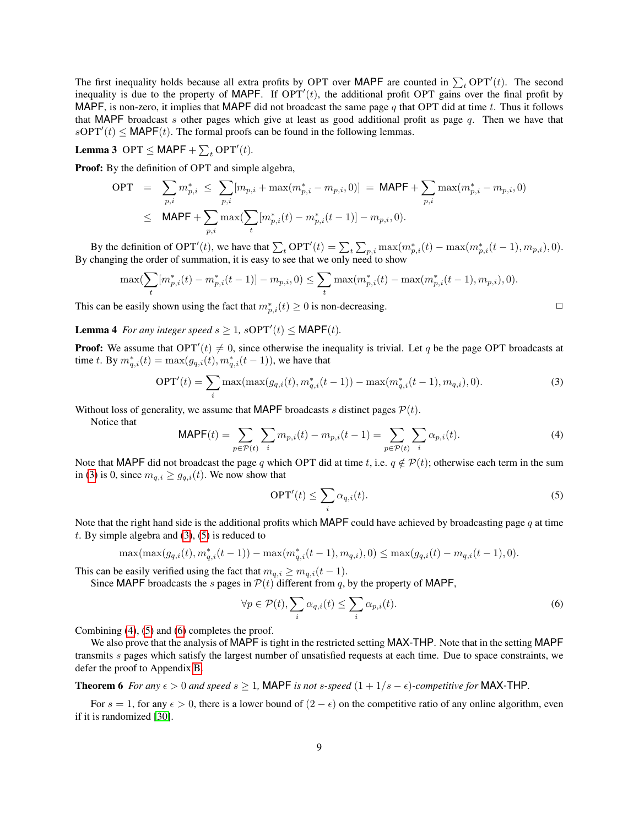The first inequality holds because all extra profits by OPT over MAPF are counted in  $\sum_{t} OPT'(t)$ . The second inequality is due to the property of MAPF. If  $OPT'(t)$ , the additional profit OPT gains over the final profit by MAPF, is non-zero, it implies that MAPF did not broadcast the same page q that OPT did at time t. Thus it follows that MAPF broadcast s other pages which give at least as good additional profit as page  $q$ . Then we have that  $sOPT'(t) \leq \text{MAPF}(t)$ . The formal proofs can be found in the following lemmas.

<span id="page-9-0"></span>**Lemma 3** OPT  $\leq$  MAPF +  $\sum_{t}$  OPT'(*t*).

Proof: By the definition of OPT and simple algebra,

$$
OPT = \sum_{p,i} m_{p,i}^* \leq \sum_{p,i} [m_{p,i} + \max(m_{p,i}^* - m_{p,i}, 0)] = \text{MAPF} + \sum_{p,i} \max(m_{p,i}^* - m_{p,i}, 0)
$$
  

$$
\leq \text{MAPF} + \sum_{p,i} \max(\sum_t [m_{p,i}^*(t) - m_{p,i}^*(t-1)] - m_{p,i}, 0).
$$

By the definition of OPT<sup>'</sup>(*t*), we have that  $\sum_{t}$  OPT<sup>'</sup>(*t*) =  $\sum_{t} \sum_{p,i} \max(m_{p,i}^*(t) - \max(m_{p,i}^*(t-1), m_{p,i}), 0)$ . By changing the order of summation, it is easy to see that we only need to show

$$
\max(\sum_{t} [m_{p,i}^*(t) - m_{p,i}^*(t-1)] - m_{p,i}, 0) \le \sum_{t} \max(m_{p,i}^*(t) - \max(m_{p,i}^*(t-1), m_{p,i}), 0).
$$

This can be easily shown using the fact that  $m_{p,i}^*(t) \geq 0$  is non-decreasing.

<span id="page-9-1"></span>**Lemma 4** For any integer speed  $s \geq 1$ ,  $sOPT'(t) \leq \text{MAPF}(t)$ .

**Proof:** We assume that  $OPT'(t) \neq 0$ , since otherwise the inequality is trivial. Let q be the page OPT broadcasts at time t. By  $m_{q,i}^*(t) = \max(g_{q,i}(t), m_{q,i}(t-1))$ , we have that

<span id="page-9-2"></span>
$$
OPT'(t) = \sum_{i} \max(\max(g_{q,i}(t), m_{q,i}^*(t-1)) - \max(m_{q,i}^*(t-1), m_{q,i}), 0).
$$
\n(3)

Without loss of generality, we assume that MAPF broadcasts s distinct pages  $P(t)$ .

Notice that

<span id="page-9-4"></span>
$$
MAPF(t) = \sum_{p \in \mathcal{P}(t)} \sum_{i} m_{p,i}(t) - m_{p,i}(t-1) = \sum_{p \in \mathcal{P}(t)} \sum_{i} \alpha_{p,i}(t).
$$
 (4)

Note that MAPF did not broadcast the page q which OPT did at time t, i.e.  $q \notin \mathcal{P}(t)$ ; otherwise each term in the sum in [\(3\)](#page-9-2) is 0, since  $m_{q,i} \geq g_{q,i}(t)$ . We now show that

<span id="page-9-3"></span>
$$
\text{OPT}'(t) \le \sum_{i} \alpha_{q,i}(t). \tag{5}
$$

Note that the right hand side is the additional profits which MAPF could have achieved by broadcasting page  $q$  at time  $t.$  By simple algebra and  $(3)$ ,  $(5)$  is reduced to

$$
\max(\max(g_{q,i}(t), m_{q,i}^*(t-1)) - \max(m_{q,i}^*(t-1), m_{q,i}), 0) \leq \max(g_{q,i}(t) - m_{q,i}(t-1), 0).
$$

This can be easily verified using the fact that  $m_{q,i} \geq m_{q,i}(t-1)$ .

Since MAPF broadcasts the s pages in  $\mathcal{P}(t)$  different from q, by the property of MAPF,

<span id="page-9-5"></span>
$$
\forall p \in \mathcal{P}(t), \sum_{i} \alpha_{q,i}(t) \le \sum_{i} \alpha_{p,i}(t). \tag{6}
$$

Combining [\(4\)](#page-9-4), [\(5\)](#page-9-3) and [\(6\)](#page-9-5) completes the proof.

We also prove that the analysis of MAPF is tight in the restricted setting MAX-THP. Note that in the setting MAPF transmits s pages which satisfy the largest number of unsatisfied requests at each time. Due to space constraints, we defer the proof to Appendix [B.](#page-16-0)

<span id="page-9-6"></span>**Theorem 6** *For any*  $\epsilon > 0$  *and speed*  $s \geq 1$ , MAPF *is not s-speed*  $(1 + 1/s - \epsilon)$ *-competitive for* MAX-THP.

For  $s = 1$ , for any  $\epsilon > 0$ , there is a lower bound of  $(2 - \epsilon)$  on the competitive ratio of any online algorithm, even if it is randomized [\[30\]](#page-14-6).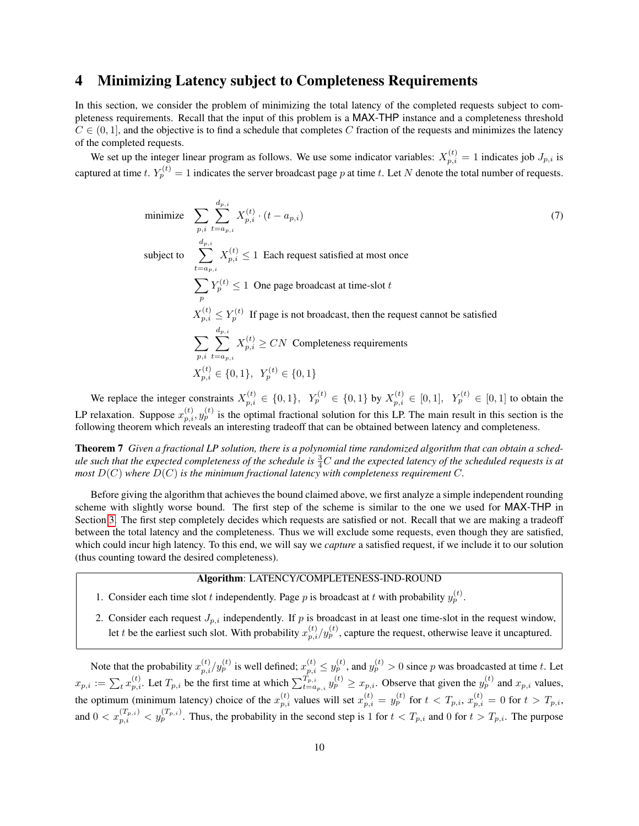## <span id="page-10-1"></span>4 Minimizing Latency subject to Completeness Requirements

In this section, we consider the problem of minimizing the total latency of the completed requests subject to completeness requirements. Recall that the input of this problem is a MAX-THP instance and a completeness threshold  $C \in (0, 1]$ , and the objective is to find a schedule that completes C fraction of the requests and minimizes the latency of the completed requests.

We set up the integer linear program as follows. We use some indicator variables:  $X_{p,i}^{(t)} = 1$  indicates job  $J_{p,i}$  is captured at time  $t. Y_p^{(t)} = 1$  indicates the server broadcast page  $p$  at time  $t.$  Let  $N$  denote the total number of requests.

minimize 
$$
\sum_{p,i} \sum_{t=a_p,i}^{d_{p,i}} X_{p,i}^{(t)} \cdot (t - a_{p,i})
$$
\nsubject to 
$$
\sum_{t=a_p,i}^{d_{p,i}} X_{p,i}^{(t)} \le 1
$$
 Each request satisfied at most once\n
$$
\sum_{p} Y_{p}^{(t)} \le 1
$$
 One page broadcast at time-slot  $t$ \n
$$
X_{p,i}^{(t)} \le Y_{p}^{(t)}
$$
 If page is not broadcast, then the request cannot be satisfied\n
$$
\sum_{p,i} \sum_{t=a_p,i}^{d_{p,i}} X_{p,i}^{(t)} \ge CN
$$
 Completeness requirements\n
$$
X_{p,i}^{(t)} \in \{0,1\}, Y_{p}^{(t)} \in \{0,1\}
$$
\n(7)

We replace the integer constraints  $X_{p,i}^{(t)} \in \{0,1\}$ ,  $Y_p^{(t)} \in \{0,1\}$  by  $X_{p,i}^{(t)} \in [0,1]$ ,  $Y_p^{(t)} \in [0,1]$  to obtain the LP relaxation. Suppose  $x_{p,i}^{(t)}, y_p^{(t)}$  is the optimal fractional solution for this LP. The main result in this section is the following theorem which reveals an interesting tradeoff that can be obtained between latency and completeness.

<span id="page-10-0"></span>Theorem 7 *Given a fractional LP solution, there is a polynomial time randomized algorithm that can obtain a sched*ule such that the expected completeness of the schedule is  $\frac{3}{4}C$  and the expected latency of the scheduled requests is at *most*  $D(C)$  *where*  $D(C)$  *is the minimum fractional latency with completeness requirement* C.

Before giving the algorithm that achieves the bound claimed above, we first analyze a simple independent rounding scheme with slightly worse bound. The first step of the scheme is similar to the one we used for MAX-THP in Section [3.](#page-4-0) The first step completely decides which requests are satisfied or not. Recall that we are making a tradeoff between the total latency and the completeness. Thus we will exclude some requests, even though they are satisfied, which could incur high latency. To this end, we will say we *capture* a satisfied request, if we include it to our solution (thus counting toward the desired completeness).

## Algorithm: LATENCY/COMPLETENESS-IND-ROUND

- 1. Consider each time slot t independently. Page p is broadcast at t with probability  $y_p^{(t)}$ .
- 2. Consider each request  $J_{p,i}$  independently. If p is broadcast in at least one time-slot in the request window, let t be the earliest such slot. With probability  $x_{p,i}^{(t)}/y_p^{(t)}$ , capture the request, otherwise leave it uncaptured.

Note that the probability  $x_{p,i}^{(t)}/y_p^{(t)}$  is well defined;  $x_{p,i}^{(t)} \le y_p^{(t)}$ , and  $y_p^{(t)} > 0$  since p was broadcasted at time t. Let  $x_{p,i} := \sum_{t} x_{p,i}^{(t)}$ . Let  $T_{p,i}$  be the first time at which  $\sum_{t=a_{p,i}}^{T_{p,i}} y_p^{(t)} \ge x_{p,i}$ . Observe that given the  $y_p^{(t)}$  and  $x_{p,i}$  values, the optimum (minimum latency) choice of the  $x_{p,i}^{(t)}$  values will set  $x_{p,i}^{(t)} = y_p^{(t)}$  for  $t < T_{p,i}$ ,  $x_{p,i}^{(t)} = 0$  for  $t > T_{p,i}$ , and  $0 < x_{p,i}^{(T_{p,i})} < y_p^{(T_{p,i})}$ . Thus, the probability in the second step is 1 for  $t < T_{p,i}$  and 0 for  $t > T_{p,i}$ . The purpose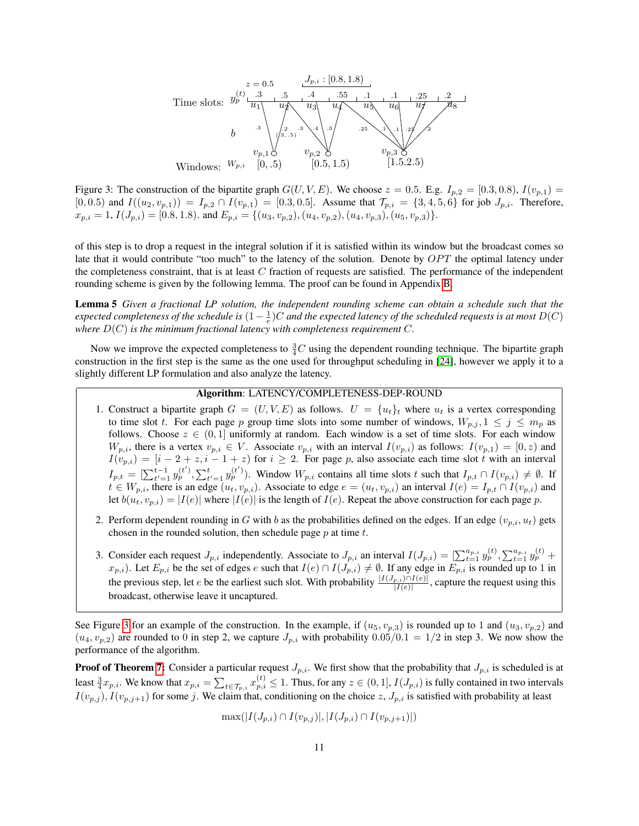

<span id="page-11-0"></span>Figure 3: The construction of the bipartite graph  $G(U, V, E)$ . We choose  $z = 0.5$ . E.g.  $I_{p,2} = [0.3, 0.8), I(v_{p,1}) =$  $[0, 0.5)$  and  $I((u_2, v_{p,1})) = I_{p,2} \cap I(v_{p,1}) = [0.3, 0.5]$ . Assume that  $\mathcal{T}_{p,i} = \{3, 4, 5, 6\}$  for job  $J_{p,i}$ . Therefore,  $x_{p,i} = 1, I(J_{p,i}) = [0.8, 1.8)$ . and  $E_{p,i} = \{(u_3, v_{p,2}), (u_4, v_{p,2}), (u_4, v_{p,3}), (u_5, v_{p,3})\}.$ 

of this step is to drop a request in the integral solution if it is satisfied within its window but the broadcast comes so late that it would contribute "too much" to the latency of the solution. Denote by  $OPT$  the optimal latency under the completeness constraint, that is at least  $C$  fraction of requests are satisfied. The performance of the independent rounding scheme is given by the following lemma. The proof can be found in Appendix [B.](#page-16-0)

<span id="page-11-1"></span>Lemma 5 *Given a fractional LP solution, the independent rounding scheme can obtain a schedule such that the* expected completeness of the schedule is  $(1-\frac{1}{e})C$  and the expected latency of the scheduled requests is at most  $D(C)$ where  $D(C)$  *is the minimum fractional latency with completeness requirement* C.

Now we improve the expected completeness to  $\frac{3}{4}C$  using the dependent rounding technique. The bipartite graph construction in the first step is the same as the one used for throughput scheduling in [\[24\]](#page-14-7), however we apply it to a slightly different LP formulation and also analyze the latency.

#### Algorithm: LATENCY/COMPLETENESS-DEP-ROUND

- 1. Construct a bipartite graph  $G = (U, V, E)$  as follows.  $U = \{u_t\}_t$  where  $u_t$  is a vertex corresponding to time slot t. For each page p group time slots into some number of windows,  $W_{p,j}$ ,  $1 \leq j \leq m_p$  as follows. Choose  $z \in (0,1]$  uniformly at random. Each window is a set of time slots. For each window  $W_{p,i}$ , there is a vertex  $v_{p,i} \in V$ . Associate  $v_{p,i}$  with an interval  $I(v_{p,i})$  as follows:  $I(v_{p,1}) = [0, z)$  and  $I(v_{p,i}) = [i-2+z, i-1+z)$  for  $i \ge 2$ . For page p, also associate each time slot t with an interval  $I_{p,t} = \left[\sum_{t'=1}^{t-1} y_p^{(t')} , \sum_{t'=1}^t y_p^{(t')} \right]$ . Window  $W_{p,i}$  contains all time slots t such that  $I_{p,t} \cap I(v_{p,i}) \neq \emptyset$ . If  $t \in W_{p,i}$ , there is an edge  $(u_t, v_{p,i})$ . Associate to edge  $e = (u_t, v_{p,i})$  an interval  $I(e) = I_{p,t} \cap I(v_{p,i})$  and let  $b(u_t, v_{p,i}) = |I(e)|$  where  $|I(e)|$  is the length of  $I(e)$ . Repeat the above construction for each page p.
- 2. Perform dependent rounding in G with b as the probabilities defined on the edges. If an edge  $(v_{p,i}, u_t)$  gets chosen in the rounded solution, then schedule page  $p$  at time  $t$ .
- 3. Consider each request  $J_{p,i}$  independently. Associate to  $J_{p,i}$  an interval  $I(J_{p,i}) = \left[\sum_{t=1}^{a_{p,i}} y_p^{(t)}, \sum_{t=1}^{a_{p,i}} y_p^{(t)}\right]$  $(x_{p,i})$ . Let  $E_{p,i}$  be the set of edges e such that  $I(e) \cap I(J_{p,i}) \neq \emptyset$ . If any edge in  $E_{p,i}$  is rounded up to 1 in the previous step, let e be the earliest such slot. With probability  $\frac{|I(J_p,i)\cap I(e)|}{|I(e)|}$ , capture the request using this broadcast, otherwise leave it uncaptured.

See Figure [3](#page-11-0) for an example of the construction. In the example, if  $(u_5, v_{p,3})$  is rounded up to 1 and  $(u_3, v_{p,2})$  and  $(u_4, v_{p,2})$  are rounded to 0 in step 2, we capture  $J_{p,i}$  with probability  $0.05/0.1 = 1/2$  in step 3. We now show the performance of the algorithm.

**Proof of Theorem [7:](#page-10-0)** Consider a particular request  $J_{p,i}$ . We first show that the probability that  $J_{p,i}$  is scheduled is at least  $\frac{3}{4}x_{p,i}$ . We know that  $x_{p,i} = \sum_{t \in \mathcal{T}_{p,i}} x_{p,i}^{(t)} \leq 1$ . Thus, for any  $z \in (0,1]$ ,  $I(J_{p,i})$  is fully contained in two intervals  $I(v_{p,j}), I(v_{p,j+1})$  for some j. We claim that, conditioning on the choice  $z, J_{p,i}$  is satisfied with probability at least

 $\max(|I(J_{p,i}) \cap I(v_{p,j})|, |I(J_{p,i}) \cap I(v_{p,j+1})|)$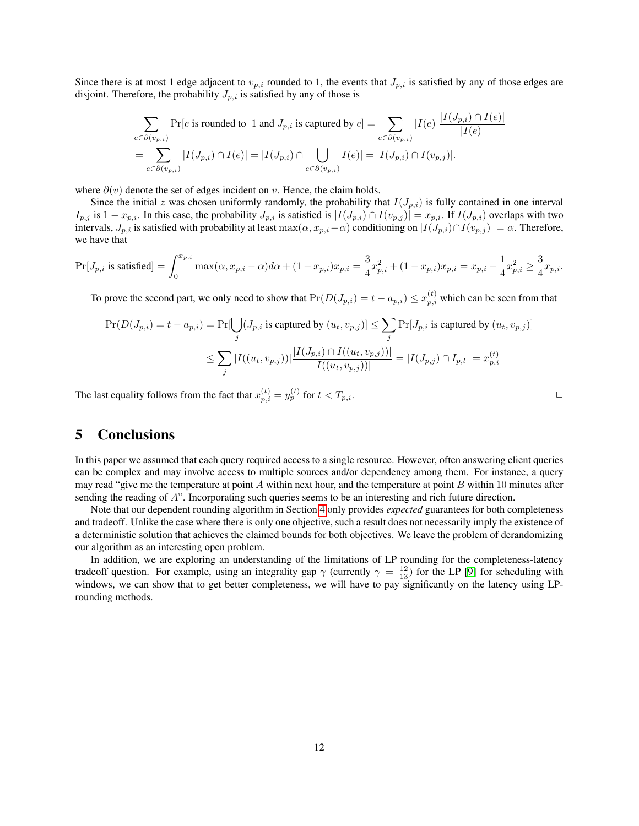Since there is at most 1 edge adjacent to  $v_{p,i}$  rounded to 1, the events that  $J_{p,i}$  is satisfied by any of those edges are disjoint. Therefore, the probability  $J_{p,i}$  is satisfied by any of those is

$$
\sum_{e \in \partial(v_{p,i})} \Pr[e \text{ is rounded to } 1 \text{ and } J_{p,i} \text{ is captured by } e] = \sum_{e \in \partial(v_{p,i})} |I(e)| \frac{|I(J_{p,i}) \cap I(e)|}{|I(e)|}
$$

$$
= \sum_{e \in \partial(v_{p,i})} |I(J_{p,i}) \cap I(e)| = |I(J_{p,i}) \cap \bigcup_{e \in \partial(v_{p,i})} I(e)| = |I(J_{p,i}) \cap I(v_{p,j})|.
$$

where  $\partial(v)$  denote the set of edges incident on v. Hence, the claim holds.

Since the initial z was chosen uniformly randomly, the probability that  $I(J_{p,i})$  is fully contained in one interval  $I_{p,j}$  is  $1-x_{p,i}$ . In this case, the probability  $J_{p,i}$  is satisfied is  $|I(J_{p,i}) \cap I(v_{p,j})| = x_{p,i}$ . If  $I(J_{p,i})$  overlaps with two intervals,  $J_{p,i}$  is satisfied with probability at least max $(\alpha, x_{p,i}-\alpha)$  conditioning on  $|I(J_{p,i}) \cap I(v_{p,j})| = \alpha$ . Therefore, we have that

$$
\Pr[J_{p,i} \text{ is satisfied}]=\int_{0}^{x_{p,i}}\max(\alpha, x_{p,i}-\alpha)d\alpha+(1-x_{p,i})x_{p,i}=\frac{3}{4}x_{p,i}^2+(1-x_{p,i})x_{p,i}=x_{p,i}-\frac{1}{4}x_{p,i}^2\geq \frac{3}{4}x_{p,i}.
$$

To prove the second part, we only need to show that  $Pr(D(J_{p,i}) = t - a_{p,i}) \le x_{p,i}^{(t)}$  which can be seen from that

$$
\Pr(D(J_{p,i}) = t - a_{p,i}) = \Pr[\bigcup_{j} (J_{p,i} \text{ is captured by } (u_t, v_{p,j})] \le \sum_{j} \Pr[J_{p,i} \text{ is captured by } (u_t, v_{p,j})]
$$

$$
\le \sum_{j} |I((u_t, v_{p,j}))| \frac{|I(J_{p,i}) \cap I((u_t, v_{p,j}))|}{|I((u_t, v_{p,j}))|} = |I(J_{p,j}) \cap I_{p,t}| = x_{p,i}^{(t)}
$$

The last equality follows from the fact that  $x_{p,i}^{(t)} = y_p^{(t)}$  for  $t < T_{p,i}$ .

## 5 Conclusions

In this paper we assumed that each query required access to a single resource. However, often answering client queries can be complex and may involve access to multiple sources and/or dependency among them. For instance, a query may read "give me the temperature at point A within next hour, and the temperature at point B within 10 minutes after sending the reading of A". Incorporating such queries seems to be an interesting and rich future direction.

Note that our dependent rounding algorithm in Section [4](#page-10-1) only provides *expected* guarantees for both completeness and tradeoff. Unlike the case where there is only one objective, such a result does not necessarily imply the existence of a deterministic solution that achieves the claimed bounds for both objectives. We leave the problem of derandomizing our algorithm as an interesting open problem.

In addition, we are exploring an understanding of the limitations of LP rounding for the completeness-latency tradeoff question. For example, using an integrality gap  $\gamma$  (currently  $\gamma = \frac{12}{13}$ ) for the LP [\[9\]](#page-13-4) for scheduling with windows, we can show that to get better completeness, we will have to pay significantly on the latency using LProunding methods.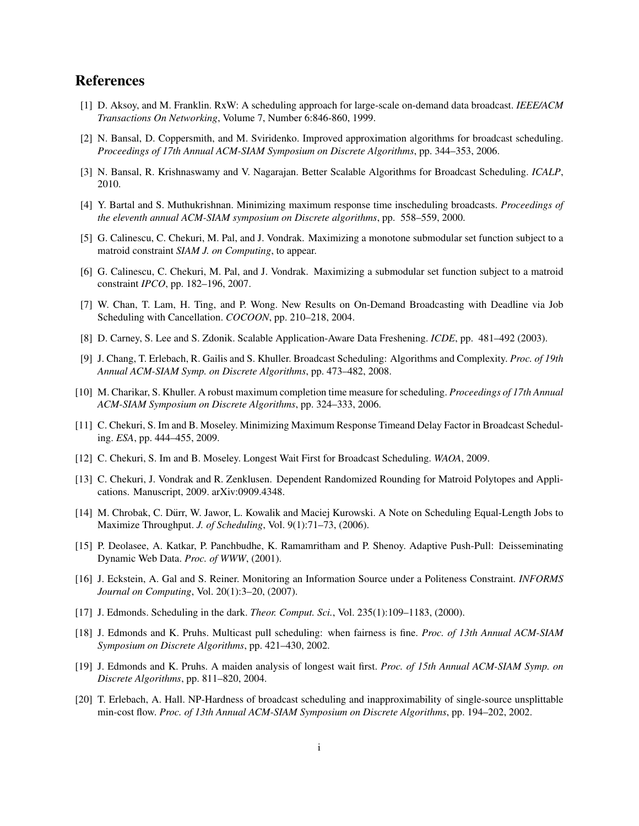## References

- [1] D. Aksoy, and M. Franklin. RxW: A scheduling approach for large-scale on-demand data broadcast. *IEEE/ACM Transactions On Networking*, Volume 7, Number 6:846-860, 1999.
- <span id="page-13-5"></span>[2] N. Bansal, D. Coppersmith, and M. Sviridenko. Improved approximation algorithms for broadcast scheduling. *Proceedings of 17th Annual ACM-SIAM Symposium on Discrete Algorithms*, pp. 344–353, 2006.
- [3] N. Bansal, R. Krishnaswamy and V. Nagarajan. Better Scalable Algorithms for Broadcast Scheduling. *ICALP*, 2010.
- <span id="page-13-3"></span>[4] Y. Bartal and S. Muthukrishnan. Minimizing maximum response time inscheduling broadcasts. *Proceedings of the eleventh annual ACM-SIAM symposium on Discrete algorithms*, pp. 558–559, 2000.
- <span id="page-13-11"></span>[5] G. Calinescu, C. Chekuri, M. Pal, and J. Vondrak. Maximizing a monotone submodular set function subject to a matroid constraint *SIAM J. on Computing*, to appear.
- <span id="page-13-13"></span>[6] G. Calinescu, C. Chekuri, M. Pal, and J. Vondrak. Maximizing a submodular set function subject to a matroid constraint *IPCO*, pp. 182–196, 2007.
- <span id="page-13-9"></span>[7] W. Chan, T. Lam, H. Ting, and P. Wong. New Results on On-Demand Broadcasting with Deadline via Job Scheduling with Cancellation. *COCOON*, pp. 210–218, 2004.
- <span id="page-13-1"></span>[8] D. Carney, S. Lee and S. Zdonik. Scalable Application-Aware Data Freshening. *ICDE*, pp. 481–492 (2003).
- <span id="page-13-4"></span>[9] J. Chang, T. Erlebach, R. Gailis and S. Khuller. Broadcast Scheduling: Algorithms and Complexity. *Proc. of 19th Annual ACM-SIAM Symp. on Discrete Algorithms*, pp. 473–482, 2008.
- [10] M. Charikar, S. Khuller. A robust maximum completion time measure for scheduling. *Proceedings of 17th Annual ACM-SIAM Symposium on Discrete Algorithms*, pp. 324–333, 2006.
- <span id="page-13-8"></span>[11] C. Chekuri, S. Im and B. Moseley. Minimizing Maximum Response Timeand Delay Factor in Broadcast Scheduling. *ESA*, pp. 444–455, 2009.
- [12] C. Chekuri, S. Im and B. Moseley. Longest Wait First for Broadcast Scheduling. *WAOA*, 2009.
- <span id="page-13-12"></span>[13] C. Chekuri, J. Vondrak and R. Zenklusen. Dependent Randomized Rounding for Matroid Polytopes and Applications. Manuscript, 2009. arXiv:0909.4348.
- <span id="page-13-10"></span>[14] M. Chrobak, C. Durr, W. Jawor, L. Kowalik and Maciej Kurowski. A Note on Scheduling Equal-Length Jobs to ¨ Maximize Throughput. *J. of Scheduling*, Vol. 9(1):71–73, (2006).
- <span id="page-13-0"></span>[15] P. Deolasee, A. Katkar, P. Panchbudhe, K. Ramamritham and P. Shenoy. Adaptive Push-Pull: Deisseminating Dynamic Web Data. *Proc. of WWW*, (2001).
- <span id="page-13-2"></span>[16] J. Eckstein, A. Gal and S. Reiner. Monitoring an Information Source under a Politeness Constraint. *INFORMS Journal on Computing*, Vol. 20(1):3–20, (2007).
- [17] J. Edmonds. Scheduling in the dark. *Theor. Comput. Sci.*, Vol. 235(1):109–1183, (2000).
- <span id="page-13-6"></span>[18] J. Edmonds and K. Pruhs. Multicast pull scheduling: when fairness is fine. *Proc. of 13th Annual ACM-SIAM Symposium on Discrete Algorithms*, pp. 421–430, 2002.
- <span id="page-13-7"></span>[19] J. Edmonds and K. Pruhs. A maiden analysis of longest wait first. *Proc. of 15th Annual ACM-SIAM Symp. on Discrete Algorithms*, pp. 811–820, 2004.
- [20] T. Erlebach, A. Hall. NP-Hardness of broadcast scheduling and inapproximability of single-source unsplittable min-cost flow. *Proc. of 13th Annual ACM-SIAM Symposium on Discrete Algorithms*, pp. 194–202, 2002.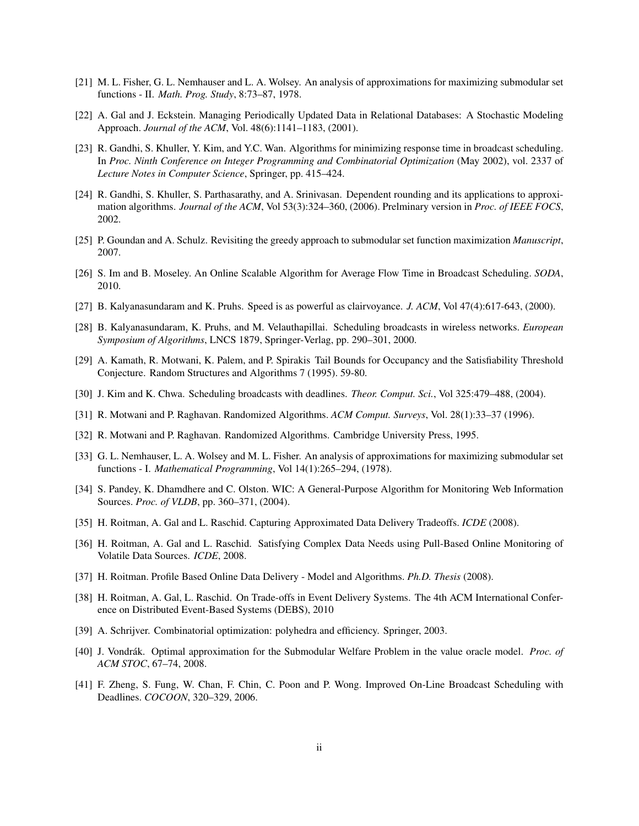- <span id="page-14-14"></span>[21] M. L. Fisher, G. L. Nemhauser and L. A. Wolsey. An analysis of approximations for maximizing submodular set functions - II. *Math. Prog. Study*, 8:73–87, 1978.
- <span id="page-14-1"></span>[22] A. Gal and J. Eckstein. Managing Periodically Updated Data in Relational Databases: A Stochastic Modeling Approach. *Journal of the ACM*, Vol. 48(6):1141–1183, (2001).
- <span id="page-14-8"></span>[23] R. Gandhi, S. Khuller, Y. Kim, and Y.C. Wan. Algorithms for minimizing response time in broadcast scheduling. In *Proc. Ninth Conference on Integer Programming and Combinatorial Optimization* (May 2002), vol. 2337 of *Lecture Notes in Computer Science*, Springer, pp. 415–424.
- <span id="page-14-7"></span>[24] R. Gandhi, S. Khuller, S. Parthasarathy, and A. Srinivasan. Dependent rounding and its applications to approximation algorithms. *Journal of the ACM*, Vol 53(3):324–360, (2006). Prelminary version in *Proc. of IEEE FOCS*, 2002.
- [25] P. Goundan and A. Schulz. Revisiting the greedy approach to submodular set function maximization *Manuscript*, 2007.
- <span id="page-14-9"></span>[26] S. Im and B. Moseley. An Online Scalable Algorithm for Average Flow Time in Broadcast Scheduling. *SODA*, 2010.
- <span id="page-14-11"></span>[27] B. Kalyanasundaram and K. Pruhs. Speed is as powerful as clairvoyance. *J. ACM*, Vol 47(4):617-643, (2000).
- <span id="page-14-5"></span>[28] B. Kalyanasundaram, K. Pruhs, and M. Velauthapillai. Scheduling broadcasts in wireless networks. *European Symposium of Algorithms*, LNCS 1879, Springer-Verlag, pp. 290–301, 2000.
- [29] A. Kamath, R. Motwani, K. Palem, and P. Spirakis Tail Bounds for Occupancy and the Satisfiability Threshold Conjecture. Random Structures and Algorithms 7 (1995). 59-80.
- <span id="page-14-6"></span>[30] J. Kim and K. Chwa. Scheduling broadcasts with deadlines. *Theor. Comput. Sci.*, Vol 325:479–488, (2004).
- [31] R. Motwani and P. Raghavan. Randomized Algorithms. *ACM Comput. Surveys*, Vol. 28(1):33–37 (1996).
- <span id="page-14-16"></span>[32] R. Motwani and P. Raghavan. Randomized Algorithms. Cambridge University Press, 1995.
- <span id="page-14-13"></span>[33] G. L. Nemhauser, L. A. Wolsey and M. L. Fisher. An analysis of approximations for maximizing submodular set functions - I. *Mathematical Programming*, Vol 14(1):265–294, (1978).
- <span id="page-14-2"></span>[34] S. Pandey, K. Dhamdhere and C. Olston. WIC: A General-Purpose Algorithm for Monitoring Web Information Sources. *Proc. of VLDB*, pp. 360–371, (2004).
- [35] H. Roitman, A. Gal and L. Raschid. Capturing Approximated Data Delivery Tradeoffs. *ICDE* (2008).
- <span id="page-14-4"></span>[36] H. Roitman, A. Gal and L. Raschid. Satisfying Complex Data Needs using Pull-Based Online Monitoring of Volatile Data Sources. *ICDE*, 2008.
- <span id="page-14-0"></span>[37] H. Roitman. Profile Based Online Data Delivery - Model and Algorithms. *Ph.D. Thesis* (2008).
- <span id="page-14-3"></span>[38] H. Roitman, A. Gal, L. Raschid. On Trade-offs in Event Delivery Systems. The 4th ACM International Conference on Distributed Event-Based Systems (DEBS), 2010
- <span id="page-14-12"></span>[39] A. Schrijver. Combinatorial optimization: polyhedra and efficiency. Springer, 2003.
- <span id="page-14-15"></span>[40] J. Vondrák. Optimal approximation for the Submodular Welfare Problem in the value oracle model. *Proc. of ACM STOC*, 67–74, 2008.
- <span id="page-14-10"></span>[41] F. Zheng, S. Fung, W. Chan, F. Chin, C. Poon and P. Wong. Improved On-Line Broadcast Scheduling with Deadlines. *COCOON*, 320–329, 2006.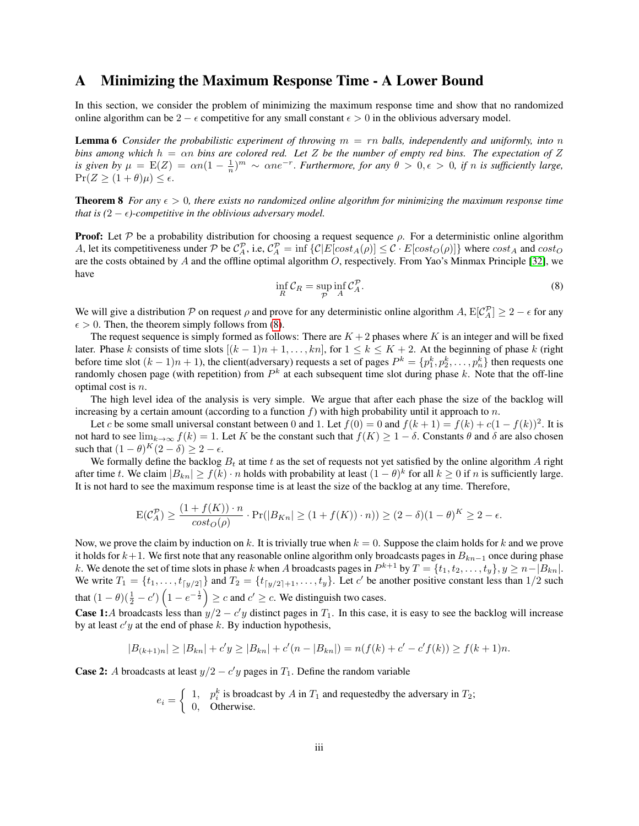## <span id="page-15-0"></span>A Minimizing the Maximum Response Time - A Lower Bound

In this section, we consider the problem of minimizing the maximum response time and show that no randomized online algorithm can be 2 –  $\epsilon$  competitive for any small constant  $\epsilon > 0$  in the oblivious adversary model.

<span id="page-15-2"></span>Lemma 6 *Consider the probabilistic experiment of throwing* m = rn *balls, independently and uniformly, into* n *bins among which* h = αn *bins are colored red. Let* Z *be the number of empty red bins. The expectation of* Z *is given by*  $\mu = E(Z) = \alpha n(1 - \frac{1}{n})^m \sim \alpha n e^{-r}$ . *Furthermore, for any*  $\theta > 0, \epsilon > 0$ , *if n is sufficiently large,*  $Pr(Z \geq (1 + \theta)\mu) \leq \epsilon.$ 

**Theorem 8** *For any*  $\epsilon > 0$ *, there exists no randomized online algorithm for minimizing the maximum response time that is*  $(2 - \epsilon)$ *-competitive in the oblivious adversary model.* 

**Proof:** Let  $P$  be a probability distribution for choosing a request sequence  $\rho$ . For a deterministic online algorithm A, let its competitiveness under P be  $C_A^{\mathcal{P}}$ , i.e,  $C_A^{\mathcal{P}} = \inf \{ C | E[cost_A(\rho)] \leq C \cdot E[cost_O(\rho)] \}$  where  $cost_A$  and  $cost_O$ are the costs obtained by A and the offline optimal algorithm  $O$ , respectively. From Yao's Minmax Principle [\[32\]](#page-14-16), we have

<span id="page-15-1"></span>
$$
\inf_{R} \mathcal{C}_{R} = \sup_{\mathcal{P}} \inf_{A} \mathcal{C}_{A}^{\mathcal{P}}.
$$
\n(8)

We will give a distribution P on request  $\rho$  and prove for any deterministic online algorithm A,  $E[\mathcal{C}_A^{\mathcal{P}}] \geq 2 - \epsilon$  for any  $\epsilon > 0$ . Then, the theorem simply follows from [\(8\)](#page-15-1).

The request sequence is simply formed as follows: There are  $K + 2$  phases where K is an integer and will be fixed later. Phase k consists of time slots  $[(k-1)n+1,\ldots,kn]$ , for  $1 \le k \le K+2$ . At the beginning of phase k (right before time slot  $(k-1)n + 1$ ), the client(adversary) requests a set of pages  $P^k = \{p_1^k, p_2^k, \ldots, p_n^k\}$  then requests one randomly chosen page (with repetition) from  $P^k$  at each subsequent time slot during phase k. Note that the off-line optimal cost is n.

The high level idea of the analysis is very simple. We argue that after each phase the size of the backlog will increasing by a certain amount (according to a function  $f$ ) with high probability until it approach to n.

Let c be some small universal constant between 0 and 1. Let  $f(0) = 0$  and  $f(k + 1) = f(k) + c(1 - f(k))^2$ . It is not hard to see  $\lim_{k\to\infty} f(k) = 1$ . Let K be the constant such that  $f(K) \geq 1 - \delta$ . Constants  $\theta$  and  $\delta$  are also chosen such that  $(1 - \theta)^K (2 - \delta) \ge 2 - \epsilon$ .

We formally define the backlog  $B_t$  at time t as the set of requests not yet satisfied by the online algorithm A right after time t. We claim  $|B_{kn}| \ge f(k) \cdot n$  holds with probability at least  $(1 - \theta)^k$  for all  $k \ge 0$  if n is sufficiently large. It is not hard to see the maximum response time is at least the size of the backlog at any time. Therefore,

$$
\mathcal{E}(\mathcal{C}_A^{\mathcal{P}}) \ge \frac{(1 + f(K)) \cdot n}{\cos t_o(\rho)} \cdot \Pr(|B_{Kn}| \ge (1 + f(K)) \cdot n)) \ge (2 - \delta)(1 - \theta)^K \ge 2 - \epsilon.
$$

Now, we prove the claim by induction on k. It is trivially true when  $k = 0$ . Suppose the claim holds for k and we prove it holds for  $k+1$ . We first note that any reasonable online algorithm only broadcasts pages in  $B_{kn-1}$  once during phase k. We denote the set of time slots in phase k when A broadcasts pages in  $P^{k+1}$  by  $T = \{t_1, t_2, \ldots, t_y\}, y \ge n - |B_{kn}|$ . We write  $T_1 = \{t_1, \ldots, t_{\lceil y/2 \rceil}\}\$  and  $T_2 = \{t_{\lceil y/2 \rceil+1}, \ldots, t_y\}$ . Let c' be another positive constant less than  $1/2$  such that  $(1 - \theta)(\frac{1}{2} - c')\left(1 - e^{-\frac{1}{2}}\right) \ge c$  and  $c' \ge c$ . We distinguish two cases.

**Case 1:** A broadcasts less than  $y/2 - c'y$  distinct pages in  $T_1$ . In this case, it is easy to see the backlog will increase by at least  $c'y$  at the end of phase  $k$ . By induction hypothesis,

$$
|B_{(k+1)n}| \ge |B_{kn}| + c'y \ge |B_{kn}| + c'(n - |B_{kn}|) = n(f(k) + c' - c'f(k)) \ge f(k+1)n.
$$

**Case 2:** A broadcasts at least  $y/2 - c'y$  pages in  $T_1$ . Define the random variable

$$
e_i = \begin{cases} 1, & p_i^k \text{ is broadcast by } A \text{ in } T_1 \text{ and requestedby the adversary in } T_2; \\ 0, & \text{Otherwise.} \end{cases}
$$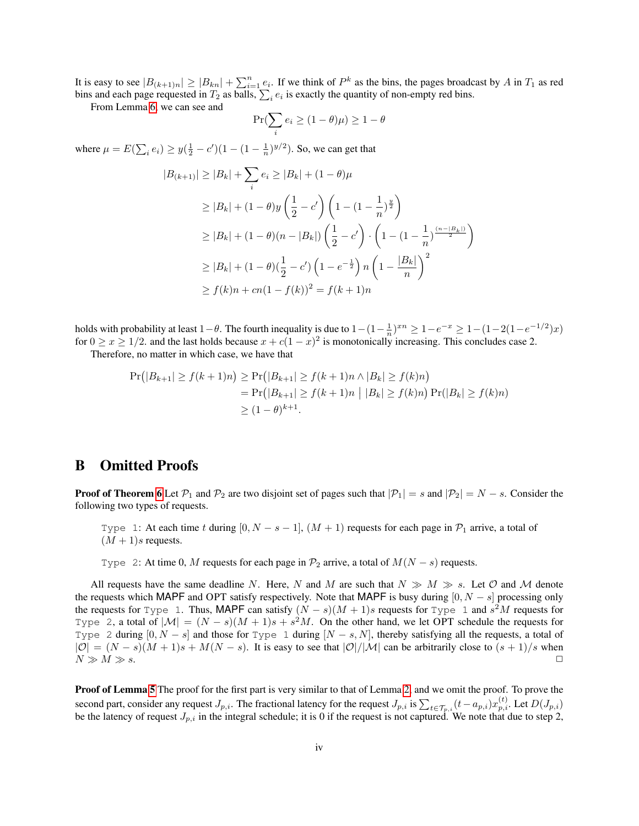It is easy to see  $|B_{(k+1)n}| \geq |B_{kn}| + \sum_{i=1}^n e_i$ . If we think of  $P^k$  as the bins, the pages broadcast by A in  $T_1$  as red bins and each page requested in  $T_2$  as balls,  $\sum_i e_i$  is exactly the quantity of non-empty red bins.

From Lemma [6,](#page-15-2) we can see and

$$
\Pr(\sum_i e_i \geq (1-\theta)\mu) \geq 1-\theta
$$

where  $\mu = E(\sum_i e_i) \ge y(\frac{1}{2} - c')(1 - (1 - \frac{1}{n})^{y/2})$ . So, we can get that

$$
|B_{(k+1)}| \ge |B_k| + \sum_i e_i \ge |B_k| + (1 - \theta)\mu
$$
  
\n
$$
\ge |B_k| + (1 - \theta)y\left(\frac{1}{2} - c'\right)\left(1 - (1 - \frac{1}{n})^{\frac{y}{2}}\right)
$$
  
\n
$$
\ge |B_k| + (1 - \theta)(n - |B_k|)\left(\frac{1}{2} - c'\right) \cdot \left(1 - (1 - \frac{1}{n})^{\frac{(n - |B_k|)}{2}}\right)
$$
  
\n
$$
\ge |B_k| + (1 - \theta)(\frac{1}{2} - c')\left(1 - e^{-\frac{1}{2}}\right)n\left(1 - \frac{|B_k|}{n}\right)^2
$$
  
\n
$$
\ge f(k)n + cn(1 - f(k))^2 = f(k+1)n
$$

holds with probability at least  $1-\theta$ . The fourth inequality is due to  $1-(1-\frac{1}{n})^{xn} \geq 1-e^{-x} \geq 1-(1-2(1-e^{-1/2})x)$ for  $0 \ge x \ge 1/2$ . and the last holds because  $x + c(1-x)^2$  is monotonically increasing. This concludes case 2.

Therefore, no matter in which case, we have that

$$
\Pr(|B_{k+1}| \ge f(k+1)n) \ge \Pr(|B_{k+1}| \ge f(k+1)n \land |B_k| \ge f(k)n)
$$
  
= 
$$
\Pr(|B_{k+1}| \ge f(k+1)n | |B_k| \ge f(k)n) \Pr(|B_k| \ge f(k)n)
$$
  

$$
\ge (1-\theta)^{k+1}.
$$

## <span id="page-16-0"></span>B Omitted Proofs

**Proof of Theorem [6](#page-9-6)** Let  $\mathcal{P}_1$  and  $\mathcal{P}_2$  are two disjoint set of pages such that  $|\mathcal{P}_1| = s$  and  $|\mathcal{P}_2| = N - s$ . Consider the following two types of requests.

Type 1: At each time t during  $[0, N - s - 1]$ ,  $(M + 1)$  requests for each page in  $\mathcal{P}_1$  arrive, a total of  $(M + 1)s$  requests.

Type 2: At time 0, M requests for each page in  $\mathcal{P}_2$  arrive, a total of  $M(N - s)$  requests.

All requests have the same deadline N. Here, N and M are such that  $N \gg M \gg s$ . Let O and M denote the requests which MAPF and OPT satisfy respectively. Note that MAPF is busy during  $[0, N - s]$  processing only the requests for Type 1. Thus, MAPF can satisfy  $(N - s)(M + 1)s$  requests for Type 1 and  $s<sup>2</sup>M$  requests for Type 2, a total of  $|M| = (N - s)(M + 1)s + s^2M$ . On the other hand, we let OPT schedule the requests for Type 2 during  $[0, N - s]$  and those for Type 1 during  $[N - s, N]$ , thereby satisfying all the requests, a total of  $|O| = (N - s)(M + 1)s + M(N - s)$ . It is easy to see that  $|O|/|M|$  can be arbitrarily close to  $(s + 1)/s$  when  $N \gg M \gg s.$ 

**Proof of Lemma [5](#page-11-1)** The proof for the first part is very similar to that of Lemma [2,](#page-5-0) and we omit the proof. To prove the second part, consider any request  $J_{p,i}$ . The fractional latency for the request  $J_{p,i}$  is  $\sum_{t \in \mathcal{T}_{p,i}} (t - a_{p,i}) x_{p,i}^{(t)}$ . Let  $D(J_{p,i})$ be the latency of request  $J_{p,i}$  in the integral schedule; it is 0 if the request is not captured. We note that due to step 2,